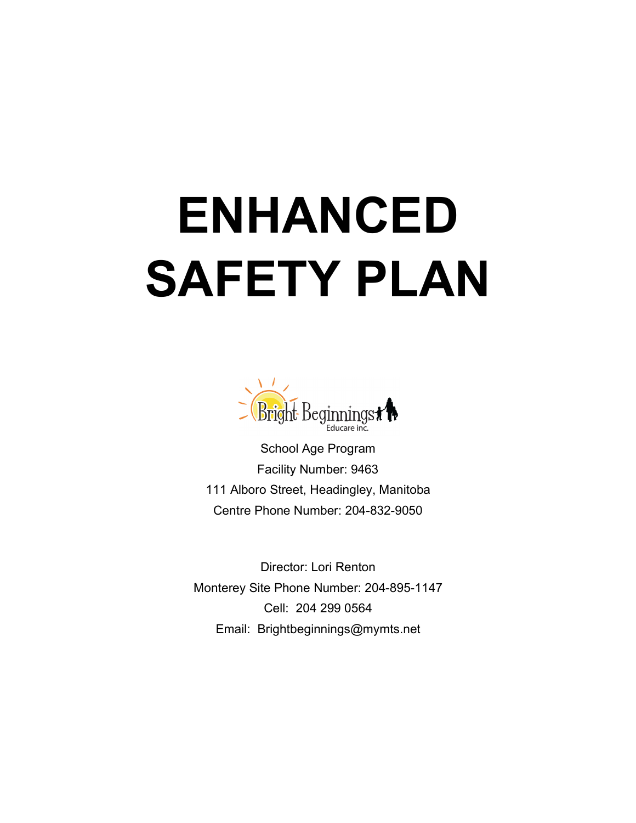# **ENHANCED SAFETY PLAN**



School Age Program Facility Number: 9463 111 Alboro Street, Headingley, Manitoba Centre Phone Number: 204-832-9050

Director: Lori Renton Monterey Site Phone Number: 204-895-1147 Cell: 204 299 0564 Email: Brightbeginnings@mymts.net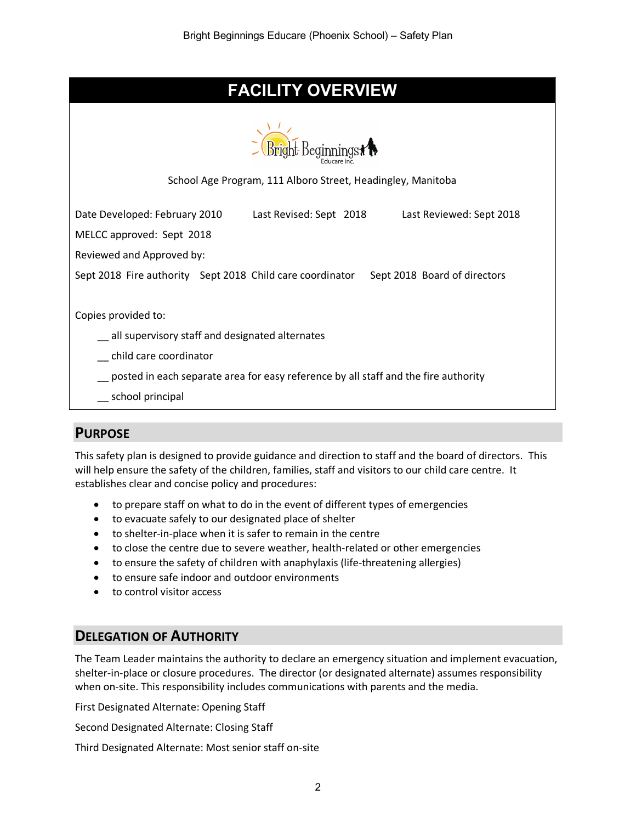## **FACILITY OVERVIEW**



School Age Program, 111 Alboro Street, Headingley, Manitoba

Date Developed: February 2010 Last Revised: Sept 2018 Last Reviewed: Sept 2018 MELCC approved: Sept 2018 Reviewed and Approved by: Sept 2018 Fire authority Sept 2018 Child care coordinator Sept 2018 Board of directors Copies provided to: \_\_ all supervisory staff and designated alternates \_\_ child care coordinator \_\_ posted in each separate area for easy reference by all staff and the fire authority \_\_ school principal

## **PURPOSE**

This safety plan is designed to provide guidance and direction to staff and the board of directors. This will help ensure the safety of the children, families, staff and visitors to our child care centre. It establishes clear and concise policy and procedures:

- to prepare staff on what to do in the event of different types of emergencies
- to evacuate safely to our designated place of shelter
- to shelter-in-place when it is safer to remain in the centre
- to close the centre due to severe weather, health-related or other emergencies
- to ensure the safety of children with anaphylaxis (life-threatening allergies)
- to ensure safe indoor and outdoor environments
- to control visitor access

## **DELEGATION OF AUTHORITY**

The Team Leader maintains the authority to declare an emergency situation and implement evacuation, shelter-in-place or closure procedures. The director (or designated alternate) assumes responsibility when on-site. This responsibility includes communications with parents and the media.

First Designated Alternate: Opening Staff

Second Designated Alternate: Closing Staff

Third Designated Alternate: Most senior staff on-site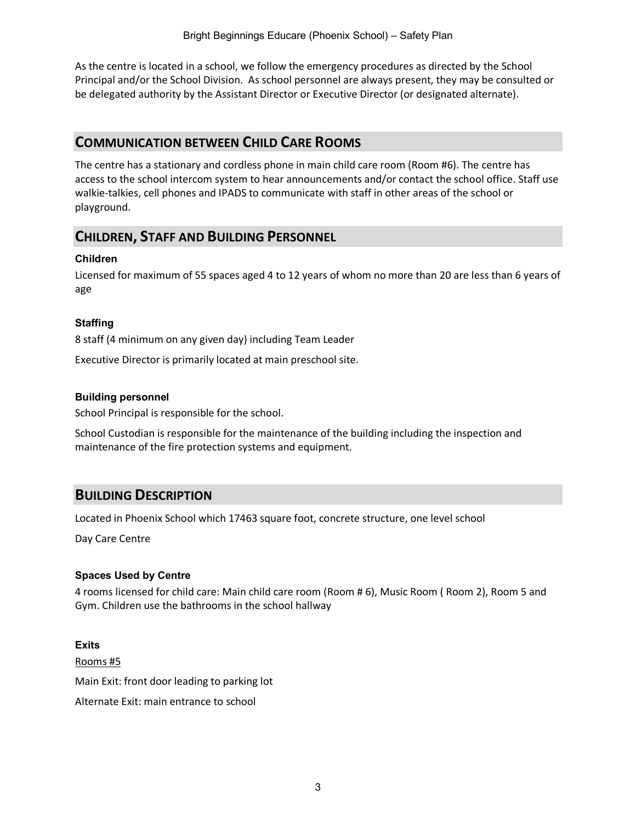As the centre is located in a school, we follow the emergency procedures as directed by the School Principal and/or the School Division. As school personnel are always present, they may be consulted or be delegated authority by the Assistant Director or Executive Director (or designated alternate).

#### **COMMUNICATION BETWEEN CHILD CARE ROOMS**

The centre has a stationary and cordless phone in main child care room (Room #6). The centre has access to the school intercom system to hear announcements and/or contact the school office. Staff use walkie-talkies, cell phones and IPADS to communicate with staff in other areas of the school or playground.

#### **CHILDREN, STAFF AND BUILDING PERSONNEL**

#### **Children**

Licensed for maximum of 55 spaces aged 4 to 12 years of whom no more than 20 are less than 6 years of age

#### **Staffing**

8 staff (4 minimum on any given day) including Team Leader

Executive Director is primarily located at main preschool site.

#### **Building personnel**

School Principal is responsible for the school.

School Custodian is responsible for the maintenance of the building including the inspection and maintenance of the fire protection systems and equipment.

#### **BUILDING DESCRIPTION**

Located in Phoenix School which 17463 square foot, concrete structure, one level school

Day Care Centre

#### **Spaces Used by Centre**

4 rooms licensed for child care: Main child care room (Room # 6), Music Room ( Room 2), Room 5 and Gym. Children use the bathrooms in the school hallway

**Exits** Rooms #5 Main Exit: front door leading to parking lot Alternate Exit: main entrance to school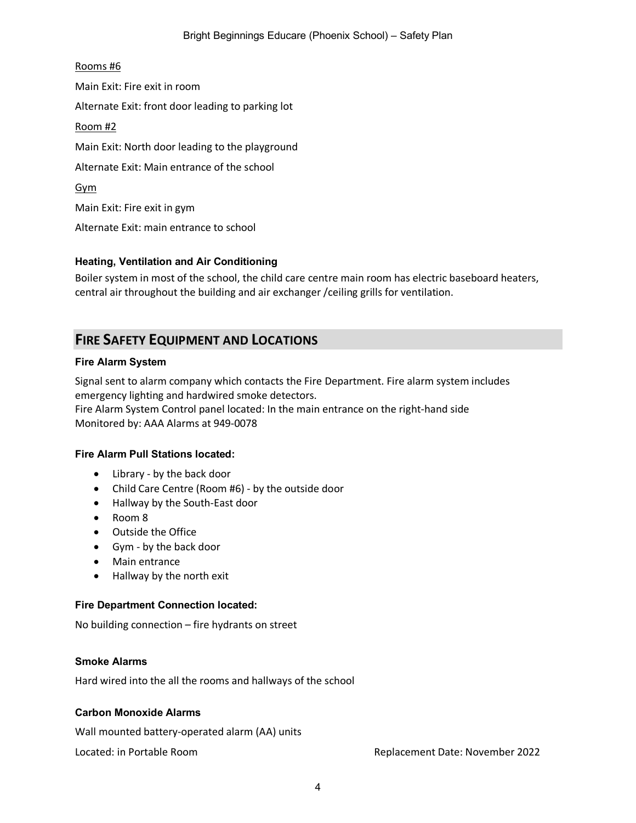Rooms #6 Main Exit: Fire exit in room Alternate Exit: front door leading to parking lot Room #2 Main Exit: North door leading to the playground Alternate Exit: Main entrance of the school Gym Main Exit: Fire exit in gym Alternate Exit: main entrance to school

#### **Heating, Ventilation and Air Conditioning**

Boiler system in most of the school, the child care centre main room has electric baseboard heaters, central air throughout the building and air exchanger /ceiling grills for ventilation.

#### **FIRE SAFETY EQUIPMENT AND LOCATIONS**

#### **Fire Alarm System**

Signal sent to alarm company which contacts the Fire Department. Fire alarm system includes emergency lighting and hardwired smoke detectors. Fire Alarm System Control panel located: In the main entrance on the right-hand side Monitored by: AAA Alarms at 949-0078

#### **Fire Alarm Pull Stations located:**

- Library by the back door
- Child Care Centre (Room #6) by the outside door
- Hallway by the South-East door
- Room 8
- Outside the Office
- Gym by the back door
- Main entrance
- Hallway by the north exit

#### **Fire Department Connection located:**

No building connection – fire hydrants on street

#### **Smoke Alarms**

Hard wired into the all the rooms and hallways of the school

#### **Carbon Monoxide Alarms**

Wall mounted battery-operated alarm (AA) units

Located: in Portable Room Replacement Date: November 2022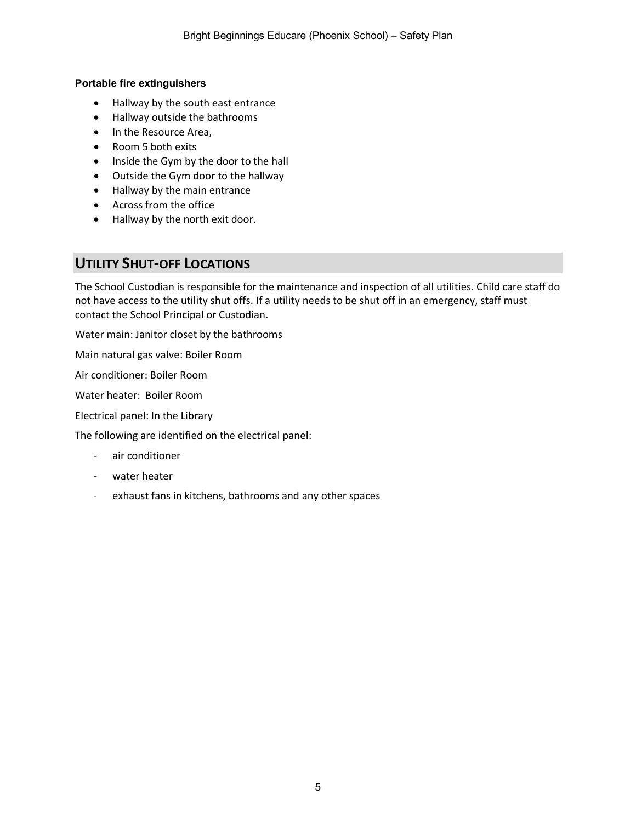#### **Portable fire extinguishers**

- Hallway by the south east entrance
- Hallway outside the bathrooms
- In the Resource Area,
- Room 5 both exits
- Inside the Gym by the door to the hall
- Outside the Gym door to the hallway
- Hallway by the main entrance
- Across from the office
- Hallway by the north exit door.

#### **UTILITY SHUT-OFF LOCATIONS**

The School Custodian is responsible for the maintenance and inspection of all utilities. Child care staff do not have access to the utility shut offs. If a utility needs to be shut off in an emergency, staff must contact the School Principal or Custodian.

Water main: Janitor closet by the bathrooms

Main natural gas valve: Boiler Room

Air conditioner: Boiler Room

Water heater: Boiler Room

Electrical panel: In the Library

The following are identified on the electrical panel:

- air conditioner
- water heater
- exhaust fans in kitchens, bathrooms and any other spaces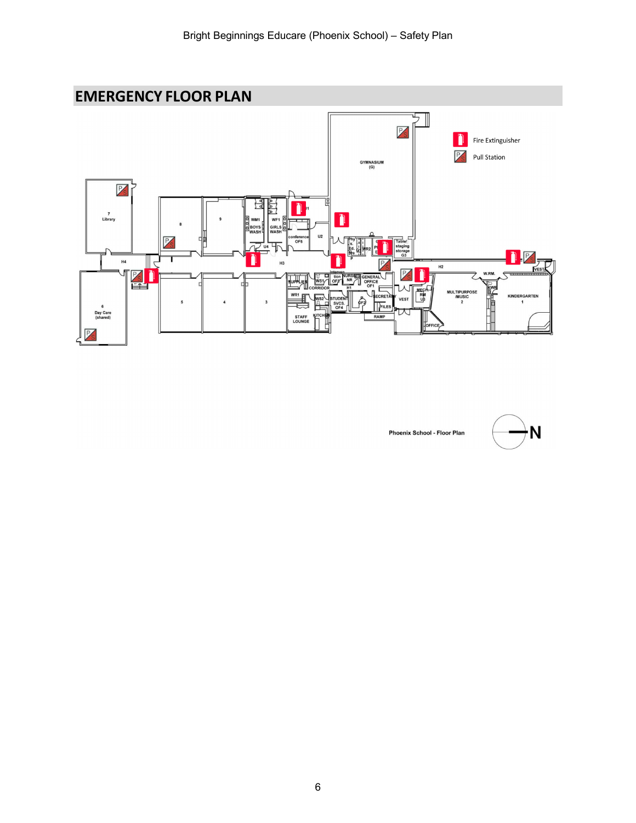

N Phoenix School - Floor Plan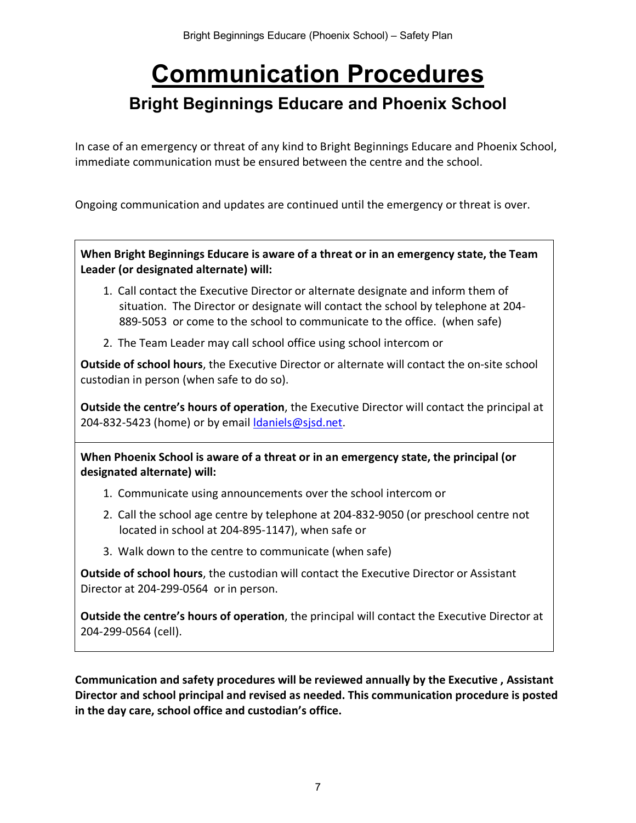## **Communication Procedures**

## **Bright Beginnings Educare and Phoenix School**

In case of an emergency or threat of any kind to Bright Beginnings Educare and Phoenix School, immediate communication must be ensured between the centre and the school.

Ongoing communication and updates are continued until the emergency or threat is over.

**When Bright Beginnings Educare is aware of a threat or in an emergency state, the Team Leader (or designated alternate) will:**

- 1. Call contact the Executive Director or alternate designate and inform them of situation. The Director or designate will contact the school by telephone at 204- 889-5053 or come to the school to communicate to the office. (when safe)
- 2. The Team Leader may call school office using school intercom or

**Outside of school hours**, the Executive Director or alternate will contact the on-site school custodian in person (when safe to do so).

**Outside the centre's hours of operation**, the Executive Director will contact the principal at 204-832-5423 (home) or by email Idaniels@sjsd.net.

**When Phoenix School is aware of a threat or in an emergency state, the principal (or designated alternate) will:**

- 1. Communicate using announcements over the school intercom or
- 2. Call the school age centre by telephone at 204-832-9050 (or preschool centre not located in school at 204-895-1147), when safe or
- 3. Walk down to the centre to communicate (when safe)

**Outside of school hours**, the custodian will contact the Executive Director or Assistant Director at 204-299-0564 or in person.

**Outside the centre's hours of operation**, the principal will contact the Executive Director at 204-299-0564 (cell).

**Communication and safety procedures will be reviewed annually by the Executive , Assistant Director and school principal and revised as needed. This communication procedure is posted in the day care, school office and custodian's office.**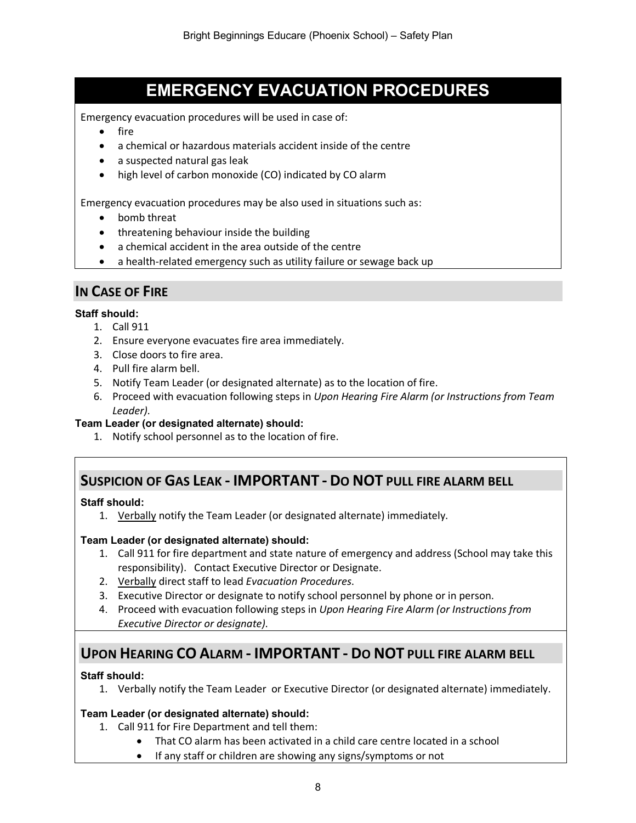## **EMERGENCY EVACUATION PROCEDURES**

Emergency evacuation procedures will be used in case of:

- fire
- a chemical or hazardous materials accident inside of the centre
- a suspected natural gas leak
- high level of carbon monoxide (CO) indicated by CO alarm

Emergency evacuation procedures may be also used in situations such as:

- bomb threat
- threatening behaviour inside the building
- a chemical accident in the area outside of the centre
- a health-related emergency such as utility failure or sewage back up

## **IN CASE OF FIRE**

#### **Staff should:**

- 1. Call 911
- 2. Ensure everyone evacuates fire area immediately.
- 3. Close doors to fire area.
- 4. Pull fire alarm bell.
- 5. Notify Team Leader (or designated alternate) as to the location of fire.
- 6. Proceed with evacuation following steps in *Upon Hearing Fire Alarm (or Instructions from Team Leader)*.

#### **Team Leader (or designated alternate) should:**

1. Notify school personnel as to the location of fire.

## **SUSPICION OF GAS LEAK - IMPORTANT - DO NOT PULL FIRE ALARM BELL**

#### **Staff should:**

1. Verbally notify the Team Leader (or designated alternate) immediately.

#### **Team Leader (or designated alternate) should:**

- 1. Call 911 for fire department and state nature of emergency and address (School may take this responsibility). Contact Executive Director or Designate.
- 2. Verbally direct staff to lead *Evacuation Procedures*.
- 3. Executive Director or designate to notify school personnel by phone or in person.
- 4. Proceed with evacuation following steps in *Upon Hearing Fire Alarm (or Instructions from Executive Director or designate)*.

#### **UPON HEARING CO ALARM - IMPORTANT - DO NOT PULL FIRE ALARM BELL**

#### **Staff should:**

1. Verbally notify the Team Leader or Executive Director (or designated alternate) immediately.

#### **Team Leader (or designated alternate) should:**

- 1. Call 911 for Fire Department and tell them:
	- That CO alarm has been activated in a child care centre located in a school
	- If any staff or children are showing any signs/symptoms or not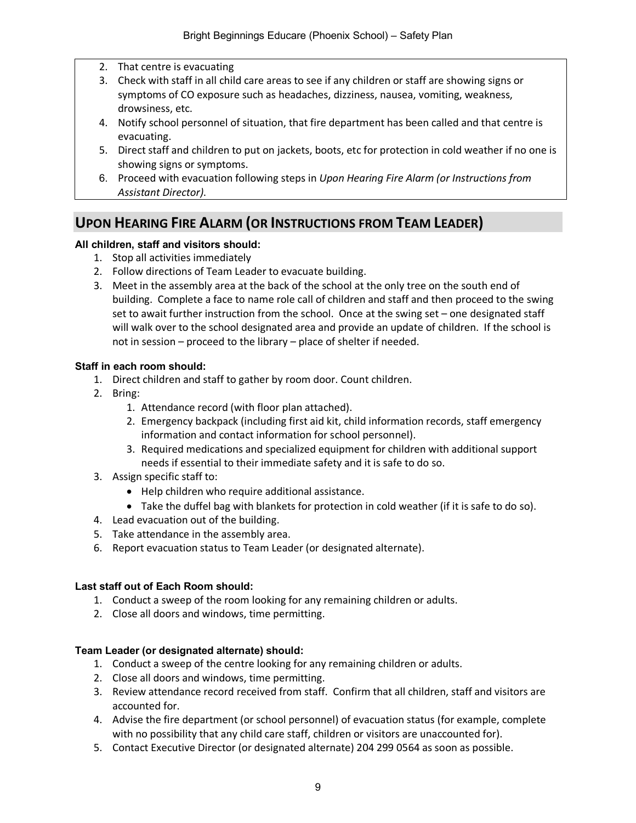- 2. That centre is evacuating
- 3. Check with staff in all child care areas to see if any children or staff are showing signs or symptoms of CO exposure such as headaches, dizziness, nausea, vomiting, weakness, drowsiness, etc.
- 4. Notify school personnel of situation, that fire department has been called and that centre is evacuating.
- 5. Direct staff and children to put on jackets, boots, etc for protection in cold weather if no one is showing signs or symptoms.
- 6. Proceed with evacuation following steps in *Upon Hearing Fire Alarm (or Instructions from Assistant Director)*.

## **UPON HEARING FIRE ALARM (OR INSTRUCTIONS FROM TEAM LEADER)**

#### **All children, staff and visitors should:**

- 1. Stop all activities immediately
- 2. Follow directions of Team Leader to evacuate building.
- 3. Meet in the assembly area at the back of the school at the only tree on the south end of building. Complete a face to name role call of children and staff and then proceed to the swing set to await further instruction from the school. Once at the swing set – one designated staff will walk over to the school designated area and provide an update of children. If the school is not in session – proceed to the library – place of shelter if needed.

#### **Staff in each room should:**

- 1. Direct children and staff to gather by room door. Count children.
- 2. Bring:
	- 1. Attendance record (with floor plan attached).
	- 2. Emergency backpack (including first aid kit, child information records, staff emergency information and contact information for school personnel).
	- 3. Required medications and specialized equipment for children with additional support needs if essential to their immediate safety and it is safe to do so.
- 3. Assign specific staff to:
	- Help children who require additional assistance.
	- Take the duffel bag with blankets for protection in cold weather (if it is safe to do so).
- 4. Lead evacuation out of the building.
- 5. Take attendance in the assembly area.
- 6. Report evacuation status to Team Leader (or designated alternate).

#### **Last staff out of Each Room should:**

- 1. Conduct a sweep of the room looking for any remaining children or adults.
- 2. Close all doors and windows, time permitting.

#### **Team Leader (or designated alternate) should:**

- 1. Conduct a sweep of the centre looking for any remaining children or adults.
- 2. Close all doors and windows, time permitting.
- 3. Review attendance record received from staff. Confirm that all children, staff and visitors are accounted for.
- 4. Advise the fire department (or school personnel) of evacuation status (for example, complete with no possibility that any child care staff, children or visitors are unaccounted for).
- 5. Contact Executive Director (or designated alternate) 204 299 0564 as soon as possible.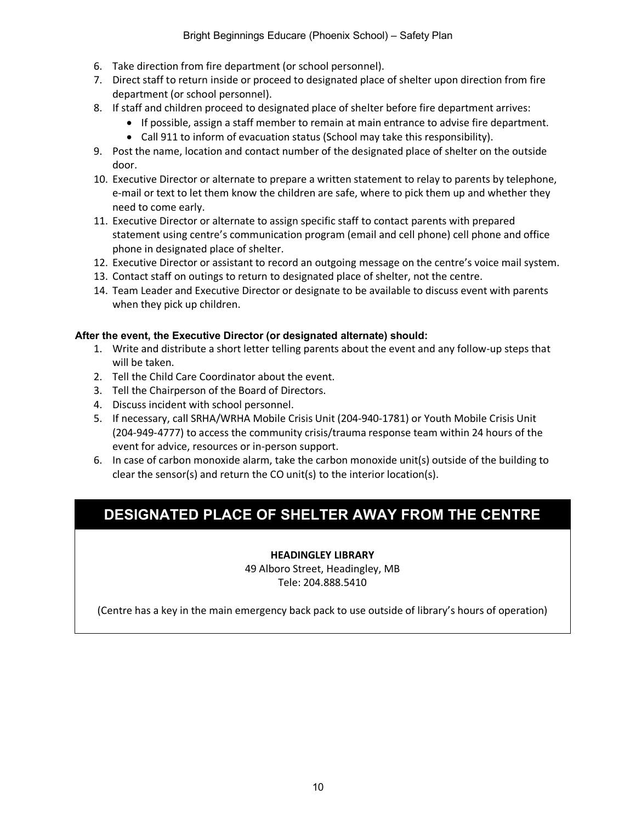- 6. Take direction from fire department (or school personnel).
- 7. Direct staff to return inside or proceed to designated place of shelter upon direction from fire department (or school personnel).
- 8. If staff and children proceed to designated place of shelter before fire department arrives:
	- If possible, assign a staff member to remain at main entrance to advise fire department.
	- Call 911 to inform of evacuation status (School may take this responsibility).
- 9. Post the name, location and contact number of the designated place of shelter on the outside door.
- 10. Executive Director or alternate to prepare a written statement to relay to parents by telephone, e-mail or text to let them know the children are safe, where to pick them up and whether they need to come early.
- 11. Executive Director or alternate to assign specific staff to contact parents with prepared statement using centre's communication program (email and cell phone) cell phone and office phone in designated place of shelter.
- 12. Executive Director or assistant to record an outgoing message on the centre's voice mail system.
- 13. Contact staff on outings to return to designated place of shelter, not the centre.
- 14. Team Leader and Executive Director or designate to be available to discuss event with parents when they pick up children.

#### **After the event, the Executive Director (or designated alternate) should:**

- 1. Write and distribute a short letter telling parents about the event and any follow-up steps that will be taken.
- 2. Tell the Child Care Coordinator about the event.
- 3. Tell the Chairperson of the Board of Directors.
- 4. Discuss incident with school personnel.
- 5. If necessary, call SRHA/WRHA Mobile Crisis Unit (204-940-1781) or Youth Mobile Crisis Unit (204-949-4777) to access the community crisis/trauma response team within 24 hours of the event for advice, resources or in-person support.
- 6. In case of carbon monoxide alarm, take the carbon monoxide unit(s) outside of the building to clear the sensor(s) and return the CO unit(s) to the interior location(s).

## **DESIGNATED PLACE OF SHELTER AWAY FROM THE CENTRE**

#### **HEADINGLEY LIBRARY**

49 Alboro Street, Headingley, MB Tele: 204.888.5410

(Centre has a key in the main emergency back pack to use outside of library's hours of operation)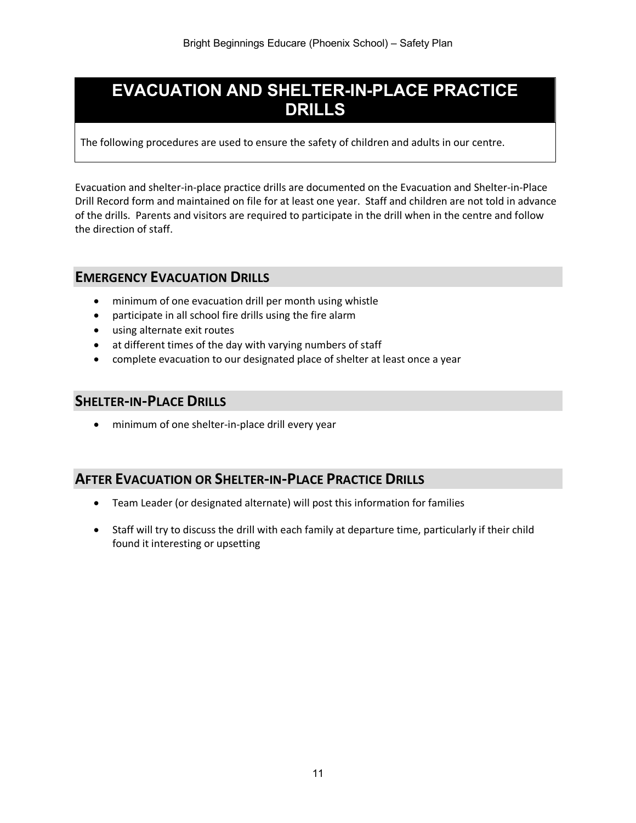## **EVACUATION AND SHELTER-IN-PLACE PRACTICE DRILLS**

The following procedures are used to ensure the safety of children and adults in our centre.

Evacuation and shelter-in-place practice drills are documented on the Evacuation and Shelter-in-Place Drill Record form and maintained on file for at least one year. Staff and children are not told in advance of the drills. Parents and visitors are required to participate in the drill when in the centre and follow the direction of staff.

#### **EMERGENCY EVACUATION DRILLS**

- minimum of one evacuation drill per month using whistle
- participate in all school fire drills using the fire alarm
- using alternate exit routes
- at different times of the day with varying numbers of staff
- complete evacuation to our designated place of shelter at least once a year

#### **SHELTER-IN-PLACE DRILLS**

• minimum of one shelter-in-place drill every year

#### **AFTER EVACUATION OR SHELTER-IN-PLACE PRACTICE DRILLS**

- Team Leader (or designated alternate) will post this information for families
- Staff will try to discuss the drill with each family at departure time, particularly if their child found it interesting or upsetting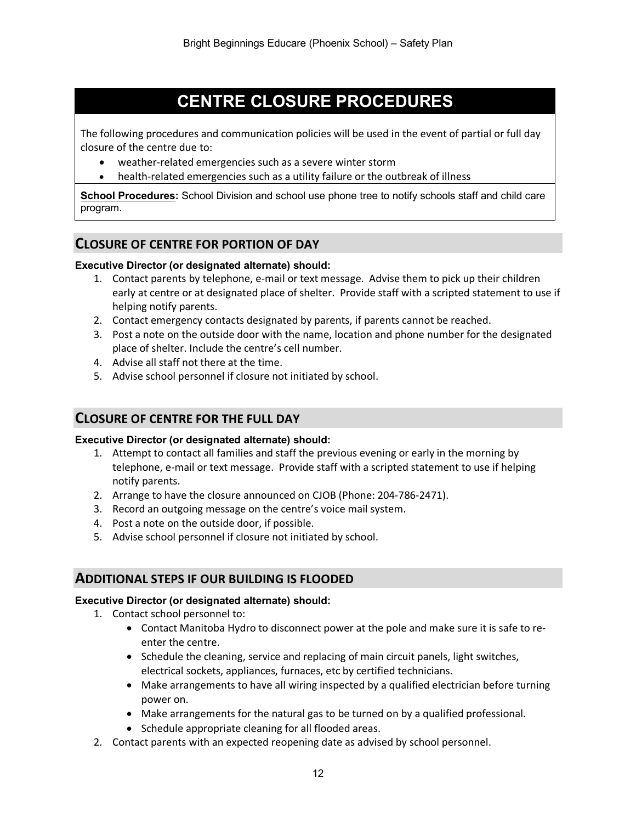## **CENTRE CLOSURE PROCEDURES**

The following procedures and communication policies will be used in the event of partial or full day closure of the centre due to:

- weather-related emergencies such as a severe winter storm
- health-related emergencies such as a utility failure or the outbreak of illness

**School Procedures:** School Division and school use phone tree to notify schools staff and child care program.

#### **CLOSURE OF CENTRE FOR PORTION OF DAY**

#### **Executive Director (or designated alternate) should:**

- 1. Contact parents by telephone, e-mail or text message. Advise them to pick up their children early at centre or at designated place of shelter. Provide staff with a scripted statement to use if helping notify parents.
- 2. Contact emergency contacts designated by parents, if parents cannot be reached.
- 3. Post a note on the outside door with the name, location and phone number for the designated place of shelter. Include the centre's cell number.
- 4. Advise all staff not there at the time.
- 5. Advise school personnel if closure not initiated by school.

#### **CLOSURE OF CENTRE FOR THE FULL DAY**

#### **Executive Director (or designated alternate) should:**

- 1. Attempt to contact all families and staff the previous evening or early in the morning by telephone, e-mail or text message. Provide staff with a scripted statement to use if helping notify parents.
- 2. Arrange to have the closure announced on CJOB (Phone: 204-786-2471).
- 3. Record an outgoing message on the centre's voice mail system.
- 4. Post a note on the outside door, if possible.
- 5. Advise school personnel if closure not initiated by school.

#### **ADDITIONAL STEPS IF OUR BUILDING IS FLOODED**

#### **Executive Director (or designated alternate) should:**

- 1. Contact school personnel to:
	- Contact Manitoba Hydro to disconnect power at the pole and make sure it is safe to reenter the centre.
	- Schedule the cleaning, service and replacing of main circuit panels, light switches, electrical sockets, appliances, furnaces, etc by certified technicians.
	- Make arrangements to have all wiring inspected by a qualified electrician before turning power on.
	- Make arrangements for the natural gas to be turned on by a qualified professional.
	- Schedule appropriate cleaning for all flooded areas.
- 2. Contact parents with an expected reopening date as advised by school personnel.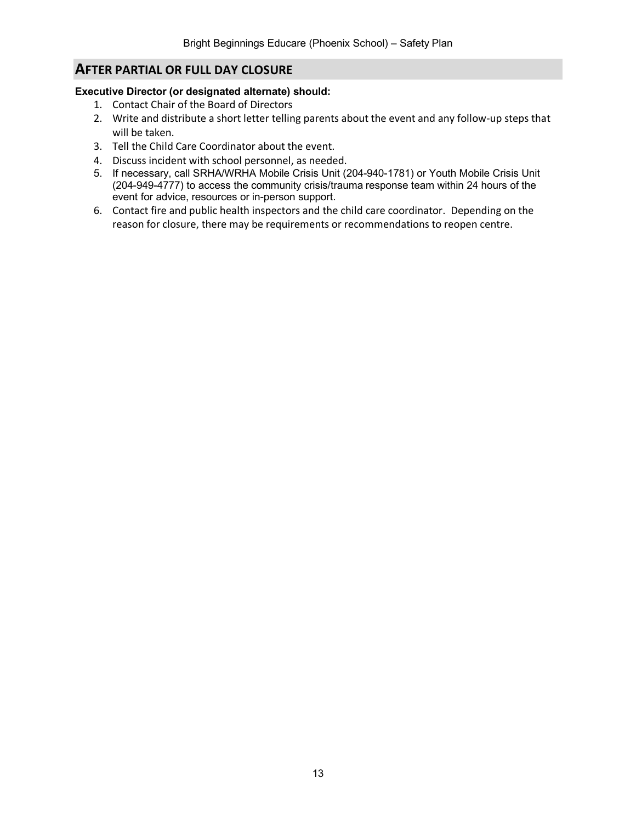#### **AFTER PARTIAL OR FULL DAY CLOSURE**

#### **Executive Director (or designated alternate) should:**

- 1. Contact Chair of the Board of Directors
- 2. Write and distribute a short letter telling parents about the event and any follow-up steps that will be taken.
- 3. Tell the Child Care Coordinator about the event.
- 4. Discuss incident with school personnel, as needed.
- 5. If necessary, call SRHA/WRHA Mobile Crisis Unit (204-940-1781) or Youth Mobile Crisis Unit (204-949-4777) to access the community crisis/trauma response team within 24 hours of the event for advice, resources or in-person support.
- 6. Contact fire and public health inspectors and the child care coordinator. Depending on the reason for closure, there may be requirements or recommendations to reopen centre.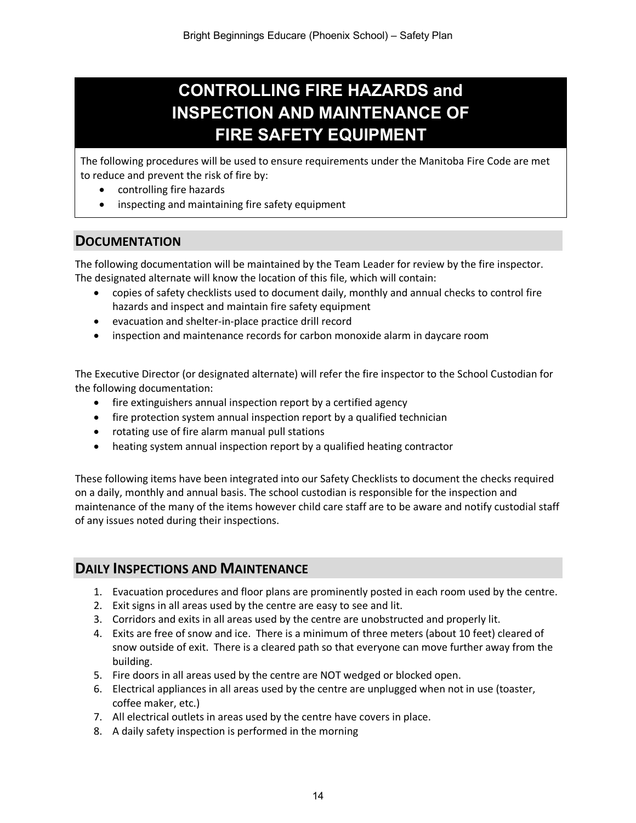## **CONTROLLING FIRE HAZARDS and INSPECTION AND MAINTENANCE OF FIRE SAFETY EQUIPMENT**

The following procedures will be used to ensure requirements under the Manitoba Fire Code are met to reduce and prevent the risk of fire by:

- controlling fire hazards
- inspecting and maintaining fire safety equipment

#### **DOCUMENTATION**

The following documentation will be maintained by the Team Leader for review by the fire inspector. The designated alternate will know the location of this file, which will contain:

- copies of safety checklists used to document daily, monthly and annual checks to control fire hazards and inspect and maintain fire safety equipment
- evacuation and shelter-in-place practice drill record
- inspection and maintenance records for carbon monoxide alarm in daycare room

The Executive Director (or designated alternate) will refer the fire inspector to the School Custodian for the following documentation:

- fire extinguishers annual inspection report by a certified agency
- fire protection system annual inspection report by a qualified technician
- rotating use of fire alarm manual pull stations
- heating system annual inspection report by a qualified heating contractor

These following items have been integrated into our Safety Checklists to document the checks required on a daily, monthly and annual basis. The school custodian is responsible for the inspection and maintenance of the many of the items however child care staff are to be aware and notify custodial staff of any issues noted during their inspections.

#### **DAILY INSPECTIONS AND MAINTENANCE**

- 1. Evacuation procedures and floor plans are prominently posted in each room used by the centre.
- 2. Exit signs in all areas used by the centre are easy to see and lit.
- 3. Corridors and exits in all areas used by the centre are unobstructed and properly lit.
- 4. Exits are free of snow and ice. There is a minimum of three meters (about 10 feet) cleared of snow outside of exit. There is a cleared path so that everyone can move further away from the building.
- 5. Fire doors in all areas used by the centre are NOT wedged or blocked open.
- 6. Electrical appliances in all areas used by the centre are unplugged when not in use (toaster, coffee maker, etc.)
- 7. All electrical outlets in areas used by the centre have covers in place.
- 8. A daily safety inspection is performed in the morning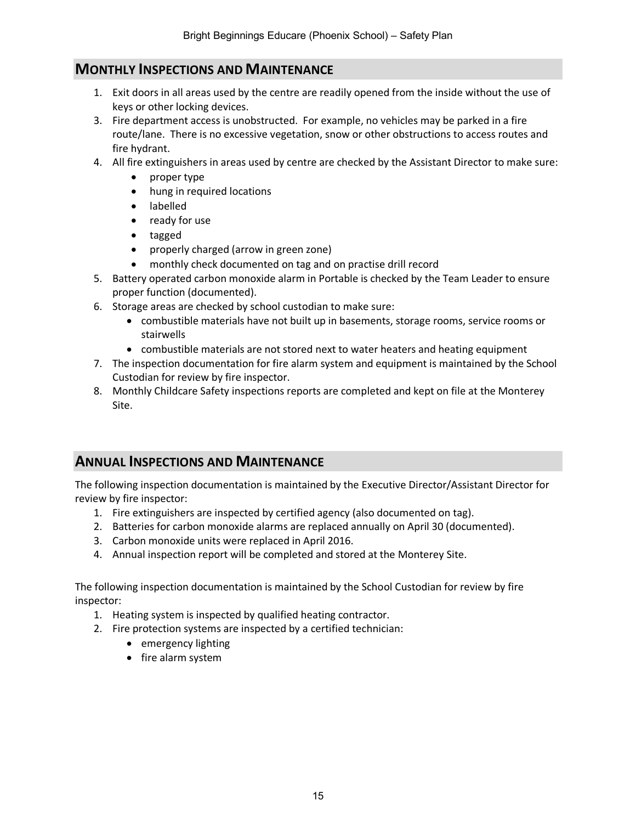#### **MONTHLY INSPECTIONS AND MAINTENANCE**

- 1. Exit doors in all areas used by the centre are readily opened from the inside without the use of keys or other locking devices.
- 3. Fire department access is unobstructed. For example, no vehicles may be parked in a fire route/lane. There is no excessive vegetation, snow or other obstructions to access routes and fire hydrant.
- 4. All fire extinguishers in areas used by centre are checked by the Assistant Director to make sure:
	- proper type
	- hung in required locations
	- labelled
	- ready for use
	- tagged
	- properly charged (arrow in green zone)
	- monthly check documented on tag and on practise drill record
- 5. Battery operated carbon monoxide alarm in Portable is checked by the Team Leader to ensure proper function (documented).
- 6. Storage areas are checked by school custodian to make sure:
	- combustible materials have not built up in basements, storage rooms, service rooms or stairwells
	- combustible materials are not stored next to water heaters and heating equipment
- 7. The inspection documentation for fire alarm system and equipment is maintained by the School Custodian for review by fire inspector.
- 8. Monthly Childcare Safety inspections reports are completed and kept on file at the Monterey Site.

## **ANNUAL INSPECTIONS AND MAINTENANCE**

The following inspection documentation is maintained by the Executive Director/Assistant Director for review by fire inspector:

- 1. Fire extinguishers are inspected by certified agency (also documented on tag).
- 2. Batteries for carbon monoxide alarms are replaced annually on April 30 (documented).
- 3. Carbon monoxide units were replaced in April 2016.
- 4. Annual inspection report will be completed and stored at the Monterey Site.

The following inspection documentation is maintained by the School Custodian for review by fire inspector:

- 1. Heating system is inspected by qualified heating contractor.
- 2. Fire protection systems are inspected by a certified technician:
	- emergency lighting
	- fire alarm system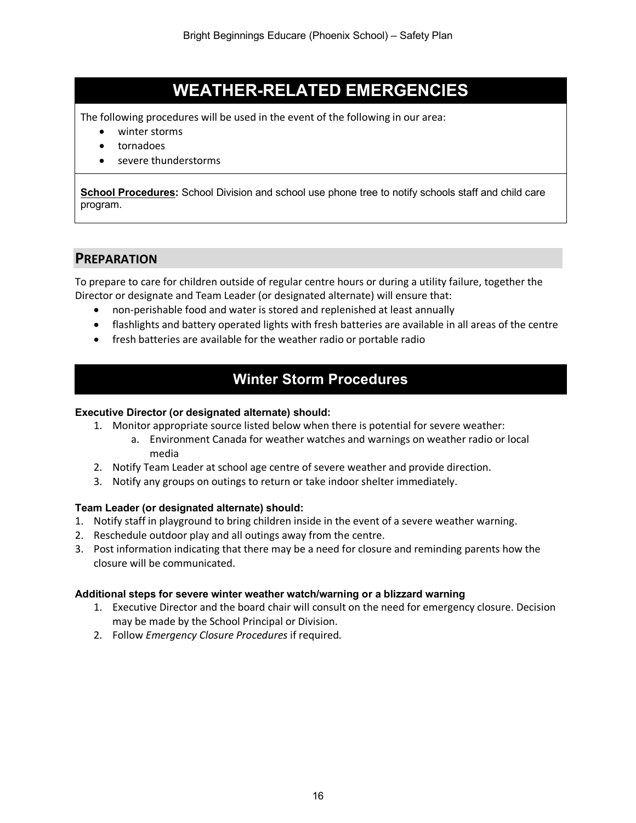## **WEATHER-RELATED EMERGENCIES**

The following procedures will be used in the event of the following in our area:

- winter storms
- tornadoes
- severe thunderstorms

**School Procedures:** School Division and school use phone tree to notify schools staff and child care program.

#### **PREPARATION**

To prepare to care for children outside of regular centre hours or during a utility failure, together the Director or designate and Team Leader (or designated alternate) will ensure that:

- non-perishable food and water is stored and replenished at least annually
- flashlights and battery operated lights with fresh batteries are available in all areas of the centre
- fresh batteries are available for the weather radio or portable radio

## **Winter Storm Procedures**

#### **Executive Director (or designated alternate) should:**

- 1. Monitor appropriate source listed below when there is potential for severe weather:
	- a. Environment Canada for weather watches and warnings on weather radio or local media
- 2. Notify Team Leader at school age centre of severe weather and provide direction.
- 3. Notify any groups on outings to return or take indoor shelter immediately.

#### **Team Leader (or designated alternate) should:**

- 1. Notify staff in playground to bring children inside in the event of a severe weather warning.
- 2. Reschedule outdoor play and all outings away from the centre.
- 3. Post information indicating that there may be a need for closure and reminding parents how the closure will be communicated.

#### **Additional steps for severe winter weather watch/warning or a blizzard warning**

- 1. Executive Director and the board chair will consult on the need for emergency closure. Decision may be made by the School Principal or Division.
- 2. Follow *Emergency Closure Procedures* if required.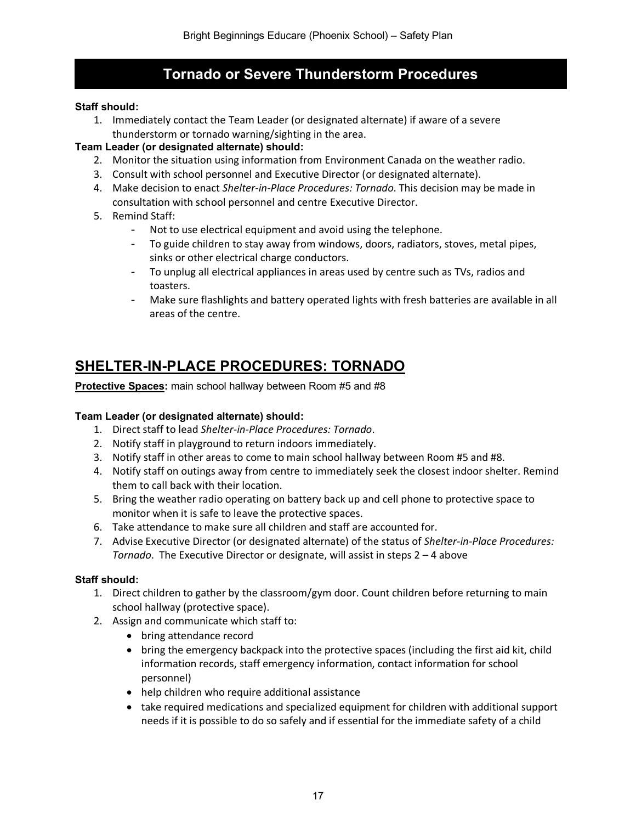## **Tornado or Severe Thunderstorm Procedures**

#### **Staff should:**

1. Immediately contact the Team Leader (or designated alternate) if aware of a severe thunderstorm or tornado warning/sighting in the area.

#### **Team Leader (or designated alternate) should:**

- 2. Monitor the situation using information from Environment Canada on the weather radio.
- 3. Consult with school personnel and Executive Director (or designated alternate).
- 4. Make decision to enact *Shelter-in-Place Procedures: Tornado*. This decision may be made in consultation with school personnel and centre Executive Director.
- 5. Remind Staff:
	- Not to use electrical equipment and avoid using the telephone.
	- To guide children to stay away from windows, doors, radiators, stoves, metal pipes, sinks or other electrical charge conductors.
	- To unplug all electrical appliances in areas used by centre such as TVs, radios and toasters.
	- Make sure flashlights and battery operated lights with fresh batteries are available in all areas of the centre.

## **SHELTER-IN-PLACE PROCEDURES: TORNADO**

**Protective Spaces:** main school hallway between Room #5 and #8

#### **Team Leader (or designated alternate) should:**

- 1. Direct staff to lead *Shelter-in-Place Procedures: Tornado*.
- 2. Notify staff in playground to return indoors immediately.
- 3. Notify staff in other areas to come to main school hallway between Room #5 and #8.
- 4. Notify staff on outings away from centre to immediately seek the closest indoor shelter. Remind them to call back with their location.
- 5. Bring the weather radio operating on battery back up and cell phone to protective space to monitor when it is safe to leave the protective spaces.
- 6. Take attendance to make sure all children and staff are accounted for.
- 7. Advise Executive Director (or designated alternate) of the status of *Shelter-in-Place Procedures: Tornado*. The Executive Director or designate, will assist in steps 2 – 4 above

#### **Staff should:**

- 1. Direct children to gather by the classroom/gym door. Count children before returning to main school hallway (protective space).
- 2. Assign and communicate which staff to:
	- bring attendance record
	- bring the emergency backpack into the protective spaces (including the first aid kit, child information records, staff emergency information, contact information for school personnel)
	- help children who require additional assistance
	- take required medications and specialized equipment for children with additional support needs if it is possible to do so safely and if essential for the immediate safety of a child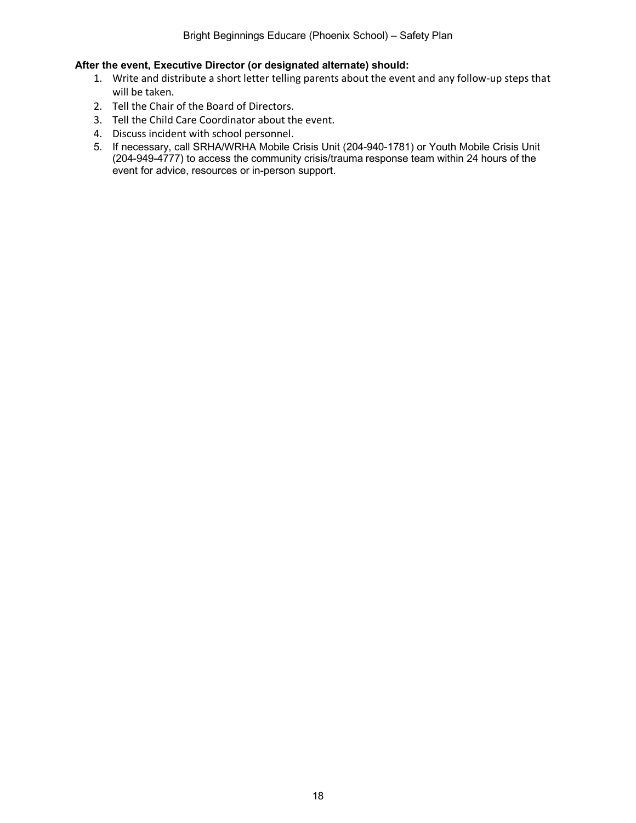#### **After the event, Executive Director (or designated alternate) should:**

- 1. Write and distribute a short letter telling parents about the event and any follow-up steps that will be taken.
- 2. Tell the Chair of the Board of Directors.
- 3. Tell the Child Care Coordinator about the event.
- 4. Discuss incident with school personnel.
- 5. If necessary, call SRHA/WRHA Mobile Crisis Unit (204-940-1781) or Youth Mobile Crisis Unit (204-949-4777) to access the community crisis/trauma response team within 24 hours of the event for advice, resources or in-person support.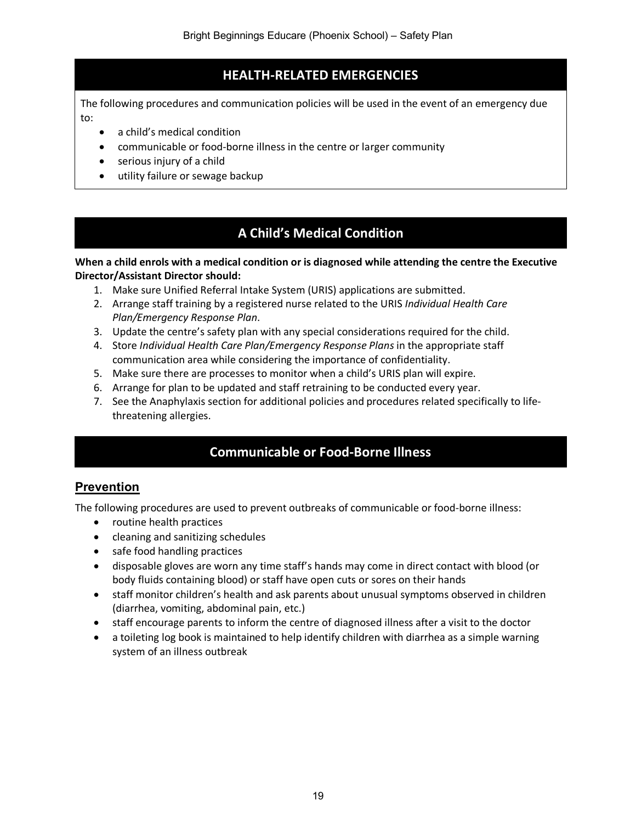## **HEALTH-RELATED EMERGENCIES**

The following procedures and communication policies will be used in the event of an emergency due to:

- a child's medical condition
- communicable or food-borne illness in the centre or larger community
- serious injury of a child
- utility failure or sewage backup

## **A Child's Medical Condition**

#### **When a child enrols with a medical condition or is diagnosed while attending the centre the Executive Director/Assistant Director should:**

- 1. Make sure Unified Referral Intake System (URIS) applications are submitted.
- 2. Arrange staff training by a registered nurse related to the URIS *Individual Health Care Plan/Emergency Response Plan*.
- 3. Update the centre's safety plan with any special considerations required for the child.
- 4. Store *Individual Health Care Plan/Emergency Response Plans* in the appropriate staff communication area while considering the importance of confidentiality.
- 5. Make sure there are processes to monitor when a child's URIS plan will expire.
- 6. Arrange for plan to be updated and staff retraining to be conducted every year.
- 7. See the Anaphylaxis section for additional policies and procedures related specifically to lifethreatening allergies.

## **Communicable or Food-Borne Illness**

#### **Prevention**

The following procedures are used to prevent outbreaks of communicable or food-borne illness:

- routine health practices
- cleaning and sanitizing schedules
- safe food handling practices
- disposable gloves are worn any time staff's hands may come in direct contact with blood (or body fluids containing blood) or staff have open cuts or sores on their hands
- staff monitor children's health and ask parents about unusual symptoms observed in children (diarrhea, vomiting, abdominal pain, etc.)
- staff encourage parents to inform the centre of diagnosed illness after a visit to the doctor
- a toileting log book is maintained to help identify children with diarrhea as a simple warning system of an illness outbreak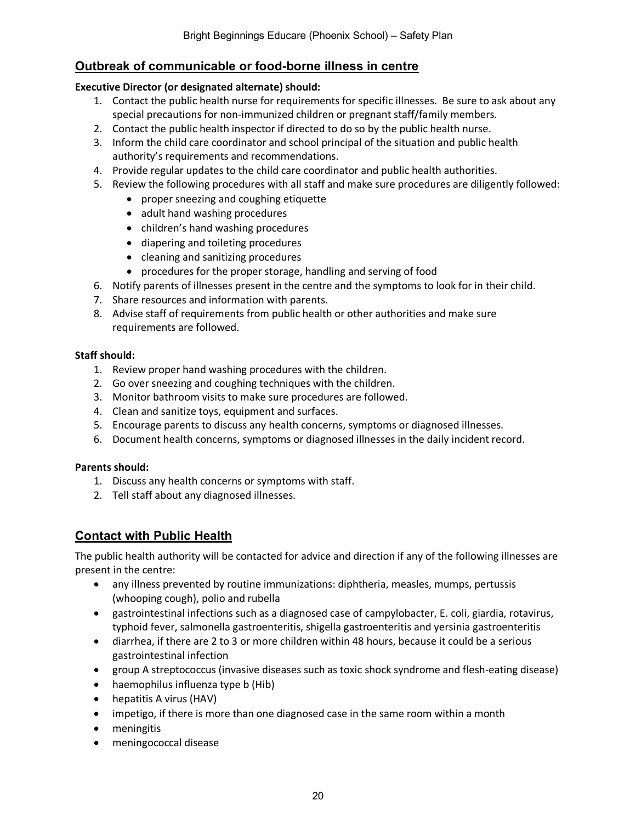#### **Outbreak of communicable or food-borne illness in centre**

#### **Executive Director (or designated alternate) should:**

- 1. Contact the public health nurse for requirements for specific illnesses. Be sure to ask about any special precautions for non-immunized children or pregnant staff/family members.
- 2. Contact the public health inspector if directed to do so by the public health nurse.
- 3. Inform the child care coordinator and school principal of the situation and public health authority's requirements and recommendations.
- 4. Provide regular updates to the child care coordinator and public health authorities.
- 5. Review the following procedures with all staff and make sure procedures are diligently followed:
	- proper sneezing and coughing etiquette
	- adult hand washing procedures
	- children's hand washing procedures
	- diapering and toileting procedures
	- cleaning and sanitizing procedures
	- procedures for the proper storage, handling and serving of food
- 6. Notify parents of illnesses present in the centre and the symptoms to look for in their child.
- 7. Share resources and information with parents.
- 8. Advise staff of requirements from public health or other authorities and make sure requirements are followed.

#### **Staff should:**

- 1. Review proper hand washing procedures with the children.
- 2. Go over sneezing and coughing techniques with the children.
- 3. Monitor bathroom visits to make sure procedures are followed.
- 4. Clean and sanitize toys, equipment and surfaces.
- 5. Encourage parents to discuss any health concerns, symptoms or diagnosed illnesses.
- 6. Document health concerns, symptoms or diagnosed illnesses in the daily incident record.

#### **Parents should:**

- 1. Discuss any health concerns or symptoms with staff.
- 2. Tell staff about any diagnosed illnesses.

#### **Contact with Public Health**

The public health authority will be contacted for advice and direction if any of the following illnesses are present in the centre:

- any illness prevented by routine immunizations: diphtheria, measles, mumps, pertussis (whooping cough), polio and rubella
- gastrointestinal infections such as a diagnosed case of campylobacter, E. coli, giardia, rotavirus, typhoid fever, salmonella gastroenteritis, shigella gastroenteritis and yersinia gastroenteritis
- diarrhea, if there are 2 to 3 or more children within 48 hours, because it could be a serious gastrointestinal infection
- group A streptococcus (invasive diseases such as toxic shock syndrome and flesh-eating disease)
- haemophilus influenza type b (Hib)
- hepatitis A virus (HAV)
- impetigo, if there is more than one diagnosed case in the same room within a month
- meningitis
- meningococcal disease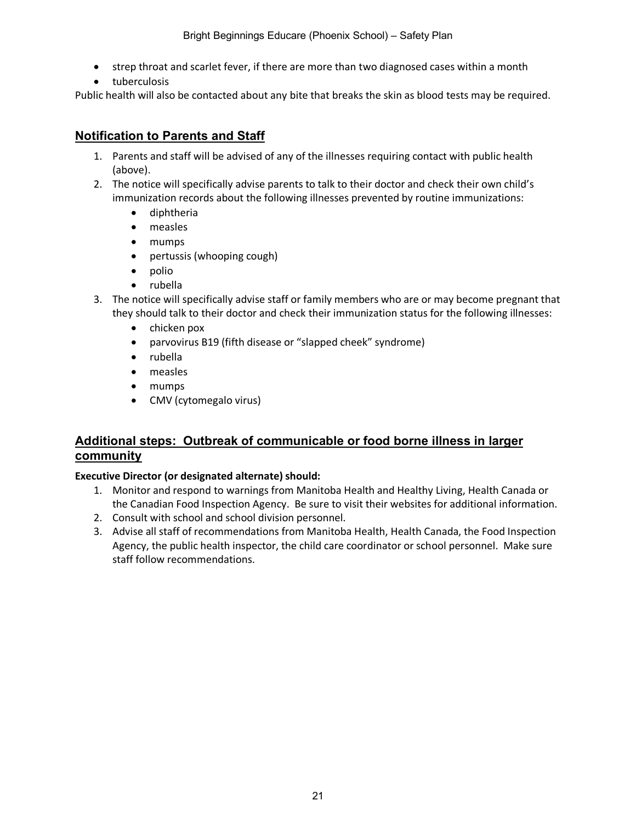- strep throat and scarlet fever, if there are more than two diagnosed cases within a month
- tuberculosis

Public health will also be contacted about any bite that breaks the skin as blood tests may be required.

#### **Notification to Parents and Staff**

- 1. Parents and staff will be advised of any of the illnesses requiring contact with public health (above).
- 2. The notice will specifically advise parents to talk to their doctor and check their own child's immunization records about the following illnesses prevented by routine immunizations:
	- diphtheria
	- measles
	- mumps
	- pertussis (whooping cough)
	- polio
	- rubella
- 3. The notice will specifically advise staff or family members who are or may become pregnant that they should talk to their doctor and check their immunization status for the following illnesses:
	- chicken pox
	- parvovirus B19 (fifth disease or "slapped cheek" syndrome)
	- rubella
	- measles
	- mumps
	- CMV (cytomegalo virus)

#### **Additional steps: Outbreak of communicable or food borne illness in larger community**

#### **Executive Director (or designated alternate) should:**

- 1. Monitor and respond to warnings from Manitoba Health and Healthy Living, Health Canada or the Canadian Food Inspection Agency. Be sure to visit their websites for additional information.
- 2. Consult with school and school division personnel.
- 3. Advise all staff of recommendations from Manitoba Health, Health Canada, the Food Inspection Agency, the public health inspector, the child care coordinator or school personnel. Make sure staff follow recommendations.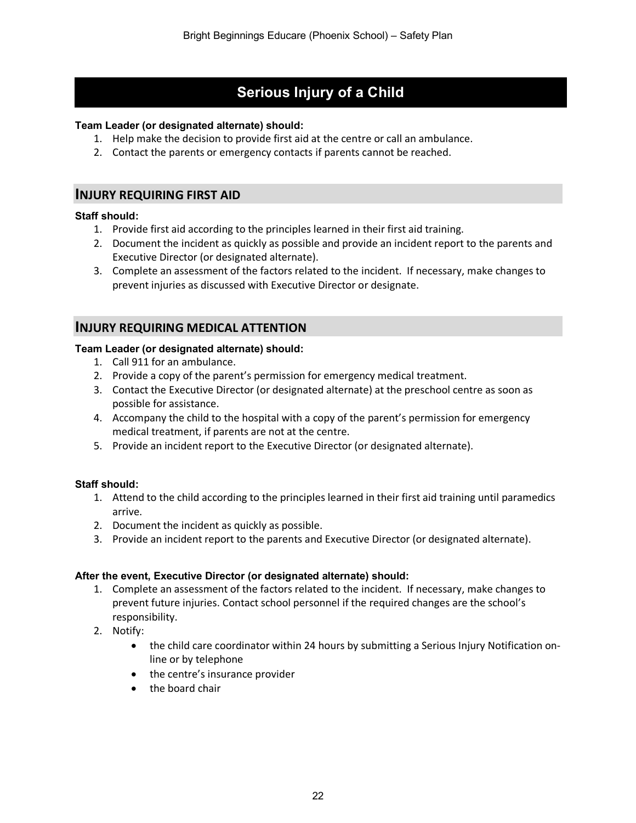## **Serious Injury of a Child**

#### **Team Leader (or designated alternate) should:**

- 1. Help make the decision to provide first aid at the centre or call an ambulance.
- 2. Contact the parents or emergency contacts if parents cannot be reached.

#### **INJURY REQUIRING FIRST AID**

#### **Staff should:**

- 1. Provide first aid according to the principles learned in their first aid training.
- 2. Document the incident as quickly as possible and provide an incident report to the parents and Executive Director (or designated alternate).
- 3. Complete an assessment of the factors related to the incident. If necessary, make changes to prevent injuries as discussed with Executive Director or designate.

#### **INJURY REQUIRING MEDICAL ATTENTION**

#### **Team Leader (or designated alternate) should:**

- 1. Call 911 for an ambulance.
- 2. Provide a copy of the parent's permission for emergency medical treatment.
- 3. Contact the Executive Director (or designated alternate) at the preschool centre as soon as possible for assistance.
- 4. Accompany the child to the hospital with a copy of the parent's permission for emergency medical treatment, if parents are not at the centre.
- 5. Provide an incident report to the Executive Director (or designated alternate).

#### **Staff should:**

- 1. Attend to the child according to the principles learned in their first aid training until paramedics arrive.
- 2. Document the incident as quickly as possible.
- 3. Provide an incident report to the parents and Executive Director (or designated alternate).

#### **After the event, Executive Director (or designated alternate) should:**

- 1. Complete an assessment of the factors related to the incident. If necessary, make changes to prevent future injuries. Contact school personnel if the required changes are the school's responsibility.
- 2. Notify:
	- the child care coordinator within 24 hours by submitting a Serious Injury Notification online or by telephone
	- the centre's insurance provider
	- the board chair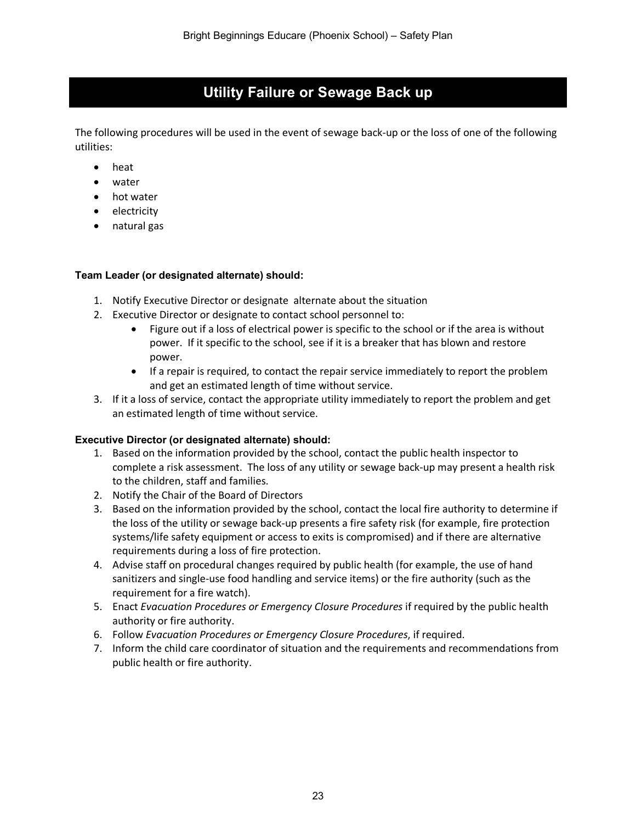## **Utility Failure or Sewage Back up**

The following procedures will be used in the event of sewage back-up or the loss of one of the following utilities:

- heat
- water
- hot water
- electricity
- natural gas

#### **Team Leader (or designated alternate) should:**

- 1. Notify Executive Director or designate alternate about the situation
- 2. Executive Director or designate to contact school personnel to:
	- Figure out if a loss of electrical power is specific to the school or if the area is without power. If it specific to the school, see if it is a breaker that has blown and restore power.
	- If a repair is required, to contact the repair service immediately to report the problem and get an estimated length of time without service.
- 3. If it a loss of service, contact the appropriate utility immediately to report the problem and get an estimated length of time without service.

#### **Executive Director (or designated alternate) should:**

- 1. Based on the information provided by the school, contact the public health inspector to complete a risk assessment. The loss of any utility or sewage back-up may present a health risk to the children, staff and families.
- 2. Notify the Chair of the Board of Directors
- 3. Based on the information provided by the school, contact the local fire authority to determine if the loss of the utility or sewage back-up presents a fire safety risk (for example, fire protection systems/life safety equipment or access to exits is compromised) and if there are alternative requirements during a loss of fire protection.
- 4. Advise staff on procedural changes required by public health (for example, the use of hand sanitizers and single-use food handling and service items) or the fire authority (such as the requirement for a fire watch).
- 5. Enact *Evacuation Procedures or Emergency Closure Procedures* if required by the public health authority or fire authority.
- 6. Follow *Evacuation Procedures or Emergency Closure Procedures*, if required.
- 7. Inform the child care coordinator of situation and the requirements and recommendations from public health or fire authority.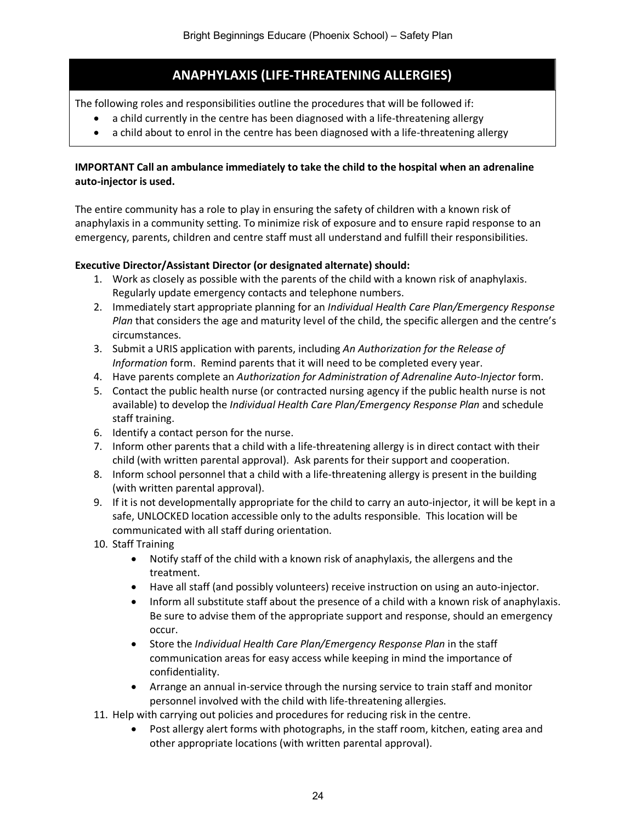## **ANAPHYLAXIS (LIFE-THREATENING ALLERGIES)**

The following roles and responsibilities outline the procedures that will be followed if:

- a child currently in the centre has been diagnosed with a life-threatening allergy
- a child about to enrol in the centre has been diagnosed with a life-threatening allergy

#### **IMPORTANT Call an ambulance immediately to take the child to the hospital when an adrenaline auto-injector is used.**

The entire community has a role to play in ensuring the safety of children with a known risk of anaphylaxis in a community setting. To minimize risk of exposure and to ensure rapid response to an emergency, parents, children and centre staff must all understand and fulfill their responsibilities.

#### **Executive Director/Assistant Director (or designated alternate) should:**

- 1. Work as closely as possible with the parents of the child with a known risk of anaphylaxis. Regularly update emergency contacts and telephone numbers.
- 2. Immediately start appropriate planning for an *Individual Health Care Plan/Emergency Response Plan* that considers the age and maturity level of the child, the specific allergen and the centre's circumstances.
- 3. Submit a URIS application with parents, including *An Authorization for the Release of Information* form. Remind parents that it will need to be completed every year.
- 4. Have parents complete an *Authorization for Administration of Adrenaline Auto-Injector* form.
- 5. Contact the public health nurse (or contracted nursing agency if the public health nurse is not available) to develop the *Individual Health Care Plan/Emergency Response Plan* and schedule staff training.
- 6. Identify a contact person for the nurse.
- 7. Inform other parents that a child with a life-threatening allergy is in direct contact with their child (with written parental approval). Ask parents for their support and cooperation.
- 8. Inform school personnel that a child with a life-threatening allergy is present in the building (with written parental approval).
- 9. If it is not developmentally appropriate for the child to carry an auto-injector, it will be kept in a safe, UNLOCKED location accessible only to the adults responsible. This location will be communicated with all staff during orientation.
- 10. Staff Training
	- Notify staff of the child with a known risk of anaphylaxis, the allergens and the treatment.
	- Have all staff (and possibly volunteers) receive instruction on using an auto-injector.
	- Inform all substitute staff about the presence of a child with a known risk of anaphylaxis. Be sure to advise them of the appropriate support and response, should an emergency occur.
	- Store the *Individual Health Care Plan/Emergency Response Plan* in the staff communication areas for easy access while keeping in mind the importance of confidentiality.
	- Arrange an annual in-service through the nursing service to train staff and monitor personnel involved with the child with life-threatening allergies.
- 11. Help with carrying out policies and procedures for reducing risk in the centre.
	- Post allergy alert forms with photographs, in the staff room, kitchen, eating area and other appropriate locations (with written parental approval).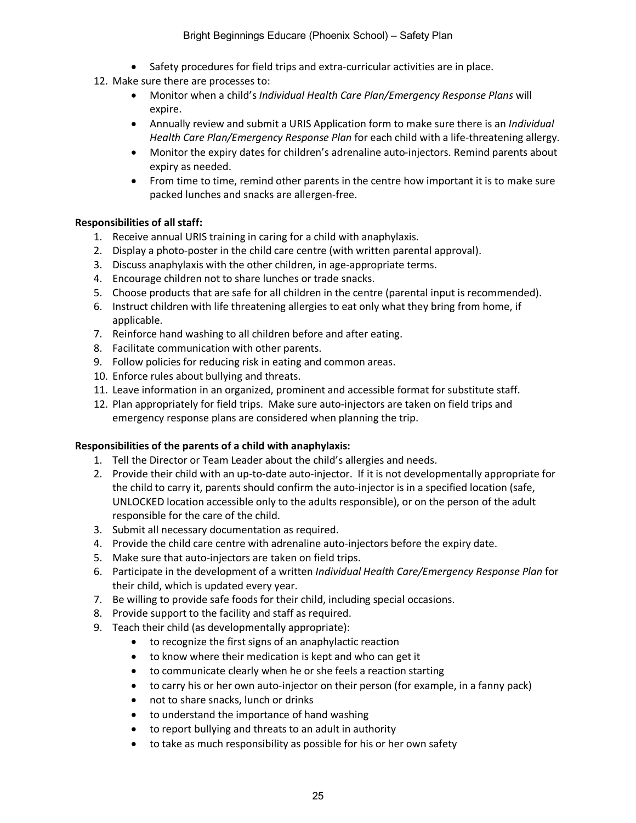- Safety procedures for field trips and extra-curricular activities are in place.
- 12. Make sure there are processes to:
	- Monitor when a child's *Individual Health Care Plan/Emergency Response Plans* will expire.
	- Annually review and submit a URIS Application form to make sure there is an *Individual Health Care Plan/Emergency Response Plan* for each child with a life-threatening allergy.
	- Monitor the expiry dates for children's adrenaline auto-injectors. Remind parents about expiry as needed.
	- From time to time, remind other parents in the centre how important it is to make sure packed lunches and snacks are allergen-free.

#### **Responsibilities of all staff:**

- 1. Receive annual URIS training in caring for a child with anaphylaxis.
- 2. Display a photo-poster in the child care centre (with written parental approval).
- 3. Discuss anaphylaxis with the other children, in age-appropriate terms.
- 4. Encourage children not to share lunches or trade snacks.
- 5. Choose products that are safe for all children in the centre (parental input is recommended).
- 6. Instruct children with life threatening allergies to eat only what they bring from home, if applicable.
- 7. Reinforce hand washing to all children before and after eating.
- 8. Facilitate communication with other parents.
- 9. Follow policies for reducing risk in eating and common areas.
- 10. Enforce rules about bullying and threats.
- 11. Leave information in an organized, prominent and accessible format for substitute staff.
- 12. Plan appropriately for field trips. Make sure auto-injectors are taken on field trips and emergency response plans are considered when planning the trip.

#### **Responsibilities of the parents of a child with anaphylaxis:**

- 1. Tell the Director or Team Leader about the child's allergies and needs.
- 2. Provide their child with an up-to-date auto-injector. If it is not developmentally appropriate for the child to carry it, parents should confirm the auto-injector is in a specified location (safe, UNLOCKED location accessible only to the adults responsible), or on the person of the adult responsible for the care of the child.
- 3. Submit all necessary documentation as required.
- 4. Provide the child care centre with adrenaline auto-injectors before the expiry date.
- 5. Make sure that auto-injectors are taken on field trips.
- 6. Participate in the development of a written *Individual Health Care/Emergency Response Plan* for their child, which is updated every year.
- 7. Be willing to provide safe foods for their child, including special occasions.
- 8. Provide support to the facility and staff as required.
- 9. Teach their child (as developmentally appropriate):
	- to recognize the first signs of an anaphylactic reaction
	- to know where their medication is kept and who can get it
	- to communicate clearly when he or she feels a reaction starting
	- to carry his or her own auto-injector on their person (for example, in a fanny pack)
	- not to share snacks, lunch or drinks
	- to understand the importance of hand washing
	- to report bullying and threats to an adult in authority
	- to take as much responsibility as possible for his or her own safety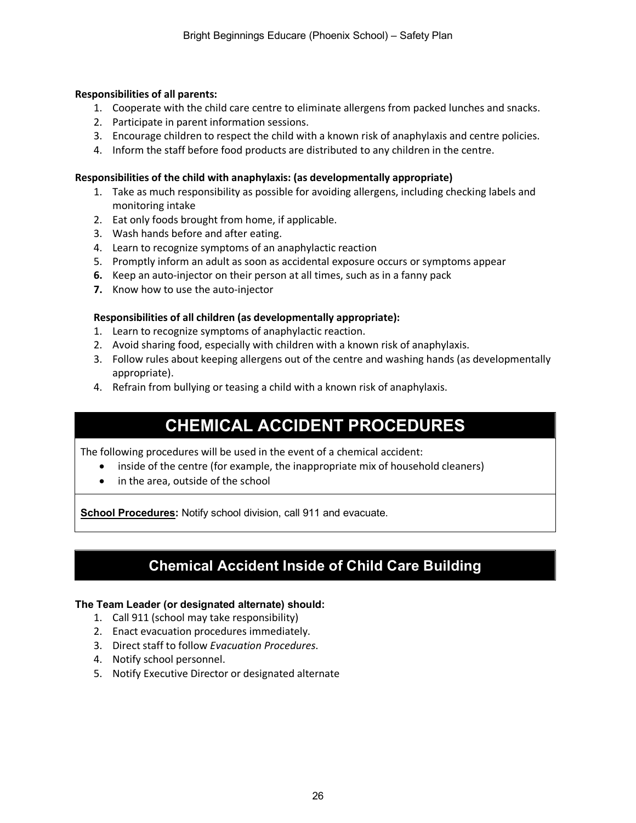#### **Responsibilities of all parents:**

- 1. Cooperate with the child care centre to eliminate allergens from packed lunches and snacks.
- 2. Participate in parent information sessions.
- 3. Encourage children to respect the child with a known risk of anaphylaxis and centre policies.
- 4. Inform the staff before food products are distributed to any children in the centre.

#### **Responsibilities of the child with anaphylaxis: (as developmentally appropriate)**

- 1. Take as much responsibility as possible for avoiding allergens, including checking labels and monitoring intake
- 2. Eat only foods brought from home, if applicable.
- 3. Wash hands before and after eating.
- 4. Learn to recognize symptoms of an anaphylactic reaction
- 5. Promptly inform an adult as soon as accidental exposure occurs or symptoms appear
- **6.** Keep an auto-injector on their person at all times, such as in a fanny pack
- **7.** Know how to use the auto-injector

#### **Responsibilities of all children (as developmentally appropriate):**

- 1. Learn to recognize symptoms of anaphylactic reaction.
- 2. Avoid sharing food, especially with children with a known risk of anaphylaxis.
- 3. Follow rules about keeping allergens out of the centre and washing hands (as developmentally appropriate).
- 4. Refrain from bullying or teasing a child with a known risk of anaphylaxis.

## **CHEMICAL ACCIDENT PROCEDURES**

The following procedures will be used in the event of a chemical accident:

- inside of the centre (for example, the inappropriate mix of household cleaners)
- in the area, outside of the school

**School Procedures:** Notify school division, call 911 and evacuate.

## **Chemical Accident Inside of Child Care Building**

#### **The Team Leader (or designated alternate) should:**

- 1. Call 911 (school may take responsibility)
- 2. Enact evacuation procedures immediately.
- 3. Direct staff to follow *Evacuation Procedures*.
- 4. Notify school personnel.
- 5. Notify Executive Director or designated alternate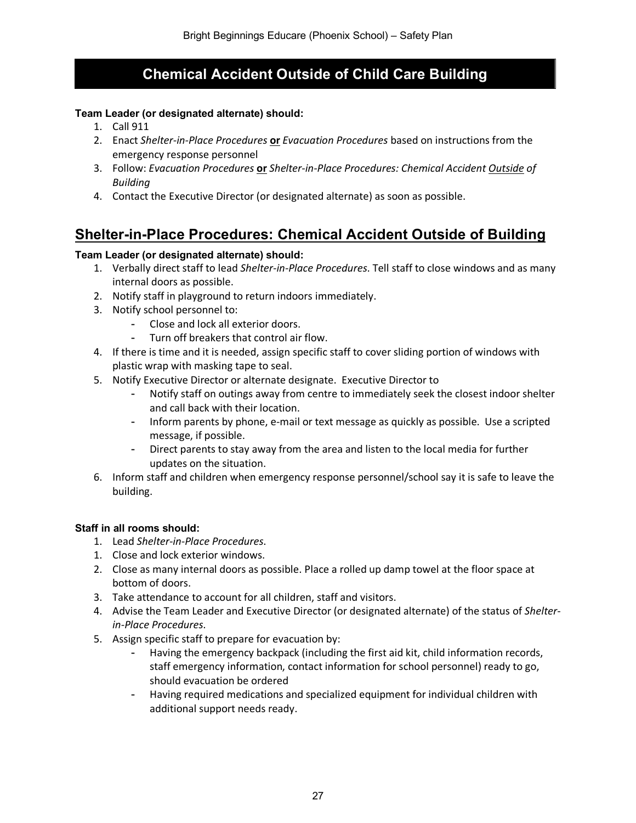## **Chemical Accident Outside of Child Care Building**

#### **Team Leader (or designated alternate) should:**

- 1. Call 911
- 2. Enact *Shelter-in-Place Procedures* **or** *Evacuation Procedures* based on instructions from the emergency response personnel
- 3. Follow: *Evacuation Procedures* **or** *Shelter-in-Place Procedures: Chemical Accident Outside of Building*
- 4. Contact the Executive Director (or designated alternate) as soon as possible.

## **Shelter-in-Place Procedures: Chemical Accident Outside of Building**

#### **Team Leader (or designated alternate) should:**

- 1. Verbally direct staff to lead *Shelter-in-Place Procedures*. Tell staff to close windows and as many internal doors as possible.
- 2. Notify staff in playground to return indoors immediately.
- 3. Notify school personnel to:
	- Close and lock all exterior doors.
	- Turn off breakers that control air flow.
- 4. If there is time and it is needed, assign specific staff to cover sliding portion of windows with plastic wrap with masking tape to seal.
- 5. Notify Executive Director or alternate designate. Executive Director to
	- Notify staff on outings away from centre to immediately seek the closest indoor shelter and call back with their location.
	- Inform parents by phone, e-mail or text message as quickly as possible. Use a scripted message, if possible.
	- Direct parents to stay away from the area and listen to the local media for further updates on the situation.
- 6. Inform staff and children when emergency response personnel/school say it is safe to leave the building.

#### **Staff in all rooms should:**

- 1. Lead *Shelter-in-Place Procedures*.
- 1. Close and lock exterior windows.
- 2. Close as many internal doors as possible. Place a rolled up damp towel at the floor space at bottom of doors.
- 3. Take attendance to account for all children, staff and visitors.
- 4. Advise the Team Leader and Executive Director (or designated alternate) of the status of *Shelterin-Place Procedures*.
- 5. Assign specific staff to prepare for evacuation by:
	- Having the emergency backpack (including the first aid kit, child information records, staff emergency information, contact information for school personnel) ready to go, should evacuation be ordered
	- Having required medications and specialized equipment for individual children with additional support needs ready.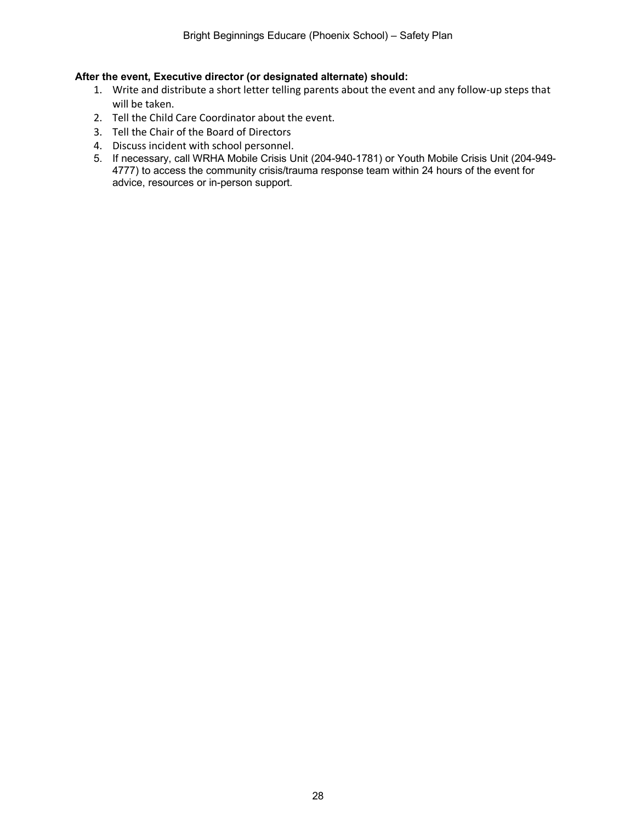#### **After the event, Executive director (or designated alternate) should:**

- 1. Write and distribute a short letter telling parents about the event and any follow-up steps that will be taken.
- 2. Tell the Child Care Coordinator about the event.
- 3. Tell the Chair of the Board of Directors
- 4. Discuss incident with school personnel.
- 5. If necessary, call WRHA Mobile Crisis Unit (204-940-1781) or Youth Mobile Crisis Unit (204-949- 4777) to access the community crisis/trauma response team within 24 hours of the event for advice, resources or in-person support.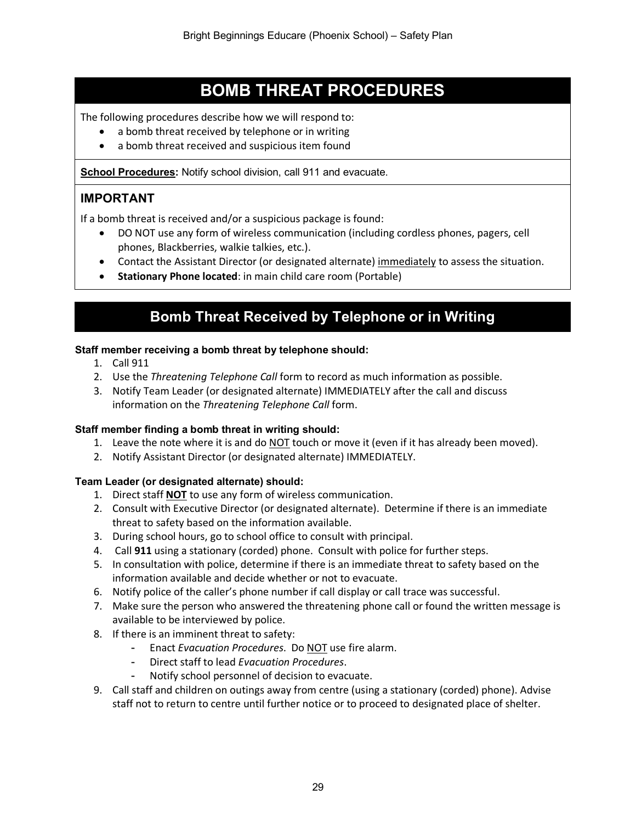## **BOMB THREAT PROCEDURES**

The following procedures describe how we will respond to:

- a bomb threat received by telephone or in writing
- a bomb threat received and suspicious item found

**School Procedures:** Notify school division, call 911 and evacuate.

#### **IMPORTANT**

If a bomb threat is received and/or a suspicious package is found:

- DO NOT use any form of wireless communication (including cordless phones, pagers, cell phones, Blackberries, walkie talkies, etc.).
- Contact the Assistant Director (or designated alternate) immediately to assess the situation.
- **Stationary Phone located**: in main child care room (Portable)

## **Bomb Threat Received by Telephone or in Writing**

#### **Staff member receiving a bomb threat by telephone should:**

- 1. Call 911
- 2. Use the *Threatening Telephone Call* form to record as much information as possible.
- 3. Notify Team Leader (or designated alternate) IMMEDIATELY after the call and discuss information on the *Threatening Telephone Call* form.

#### **Staff member finding a bomb threat in writing should:**

- 1. Leave the note where it is and do  $\overline{NOT}$  touch or move it (even if it has already been moved).
- 2. Notify Assistant Director (or designated alternate) IMMEDIATELY.

#### **Team Leader (or designated alternate) should:**

- 1. Direct staff **NOT** to use any form of wireless communication.
- 2. Consult with Executive Director (or designated alternate). Determine if there is an immediate threat to safety based on the information available.
- 3. During school hours, go to school office to consult with principal.
- 4. Call **911** using a stationary (corded) phone. Consult with police for further steps.
- 5. In consultation with police, determine if there is an immediate threat to safety based on the information available and decide whether or not to evacuate.
- 6. Notify police of the caller's phone number if call display or call trace was successful.
- 7. Make sure the person who answered the threatening phone call or found the written message is available to be interviewed by police.
- 8. If there is an imminent threat to safety:
	- Enact *Evacuation Procedures*. Do NOT use fire alarm.
	- Direct staff to lead *Evacuation Procedures*.
	- Notify school personnel of decision to evacuate.
- 9. Call staff and children on outings away from centre (using a stationary (corded) phone). Advise staff not to return to centre until further notice or to proceed to designated place of shelter.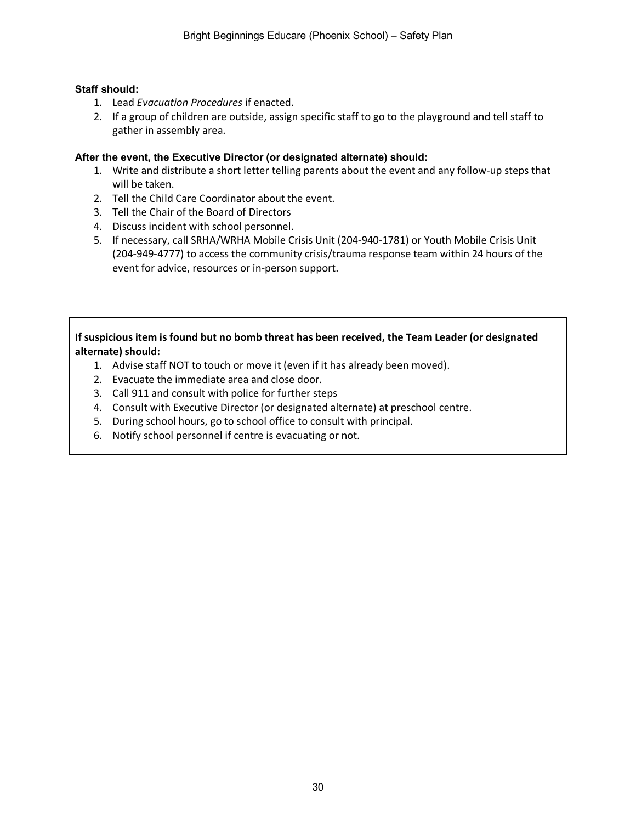#### **Staff should:**

- 1. Lead *Evacuation Procedures* if enacted.
- 2. If a group of children are outside, assign specific staff to go to the playground and tell staff to gather in assembly area.

#### **After the event, the Executive Director (or designated alternate) should:**

- 1. Write and distribute a short letter telling parents about the event and any follow-up steps that will be taken.
- 2. Tell the Child Care Coordinator about the event.
- 3. Tell the Chair of the Board of Directors
- 4. Discuss incident with school personnel.
- 5. If necessary, call SRHA/WRHA Mobile Crisis Unit (204-940-1781) or Youth Mobile Crisis Unit (204-949-4777) to access the community crisis/trauma response team within 24 hours of the event for advice, resources or in-person support.

#### **If suspicious item is found but no bomb threat has been received, the Team Leader (or designated alternate) should:**

- 1. Advise staff NOT to touch or move it (even if it has already been moved).
- 2. Evacuate the immediate area and close door.
- 3. Call 911 and consult with police for further steps
- 4. Consult with Executive Director (or designated alternate) at preschool centre.
- 5. During school hours, go to school office to consult with principal.
- 6. Notify school personnel if centre is evacuating or not.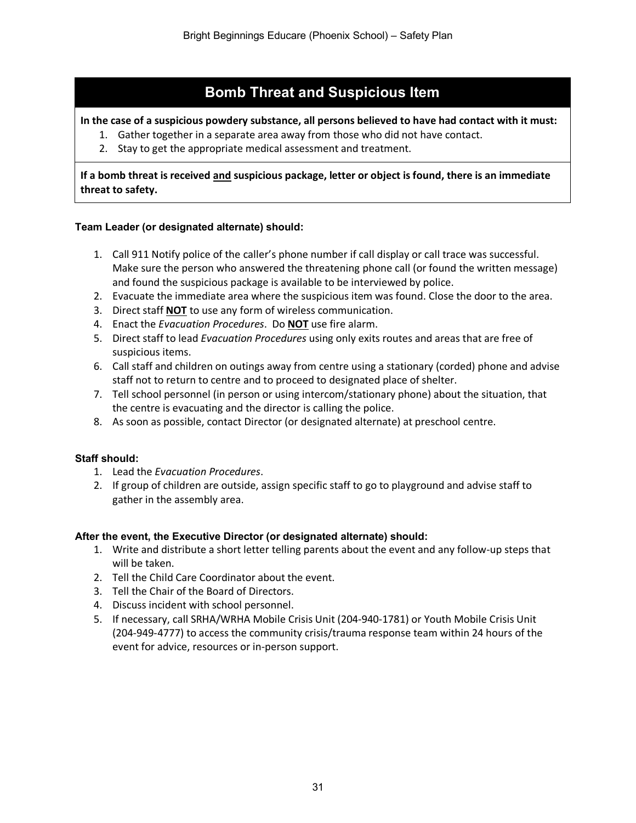## **Bomb Threat and Suspicious Item**

#### **In the case of a suspicious powdery substance, all persons believed to have had contact with it must:**

- 1. Gather together in a separate area away from those who did not have contact.
- 2. Stay to get the appropriate medical assessment and treatment.

**If a bomb threat is received and suspicious package, letter or object is found, there is an immediate threat to safety.**

#### **Team Leader (or designated alternate) should:**

- 1. Call 911 Notify police of the caller's phone number if call display or call trace was successful. Make sure the person who answered the threatening phone call (or found the written message) and found the suspicious package is available to be interviewed by police.
- 2. Evacuate the immediate area where the suspicious item was found. Close the door to the area.
- 3. Direct staff **NOT** to use any form of wireless communication.
- 4. Enact the *Evacuation Procedures*. Do **NOT** use fire alarm.
- 5. Direct staff to lead *Evacuation Procedures* using only exits routes and areas that are free of suspicious items.
- 6. Call staff and children on outings away from centre using a stationary (corded) phone and advise staff not to return to centre and to proceed to designated place of shelter.
- 7. Tell school personnel (in person or using intercom/stationary phone) about the situation, that the centre is evacuating and the director is calling the police.
- 8. As soon as possible, contact Director (or designated alternate) at preschool centre.

#### **Staff should:**

- 1. Lead the *Evacuation Procedures*.
- 2. If group of children are outside, assign specific staff to go to playground and advise staff to gather in the assembly area.

#### **After the event, the Executive Director (or designated alternate) should:**

- 1. Write and distribute a short letter telling parents about the event and any follow-up steps that will be taken.
- 2. Tell the Child Care Coordinator about the event.
- 3. Tell the Chair of the Board of Directors.
- 4. Discuss incident with school personnel.
- 5. If necessary, call SRHA/WRHA Mobile Crisis Unit (204-940-1781) or Youth Mobile Crisis Unit (204-949-4777) to access the community crisis/trauma response team within 24 hours of the event for advice, resources or in-person support.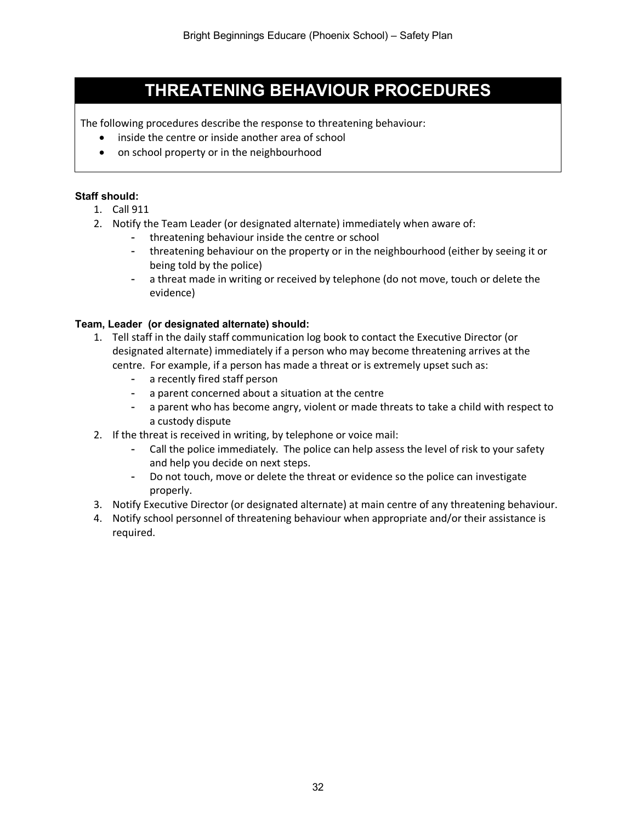## **THREATENING BEHAVIOUR PROCEDURES**

The following procedures describe the response to threatening behaviour:

- inside the centre or inside another area of school
- on school property or in the neighbourhood

#### **Staff should:**

- 1. Call 911
- 2. Notify the Team Leader (or designated alternate) immediately when aware of:
	- threatening behaviour inside the centre or school
	- threatening behaviour on the property or in the neighbourhood (either by seeing it or being told by the police)
	- a threat made in writing or received by telephone (do not move, touch or delete the evidence)

#### **Team, Leader (or designated alternate) should:**

- 1. Tell staff in the daily staff communication log book to contact the Executive Director (or designated alternate) immediately if a person who may become threatening arrives at the centre. For example, if a person has made a threat or is extremely upset such as:
	- a recently fired staff person
	- a parent concerned about a situation at the centre
	- a parent who has become angry, violent or made threats to take a child with respect to a custody dispute
- 2. If the threat is received in writing, by telephone or voice mail:
	- Call the police immediately. The police can help assess the level of risk to your safety and help you decide on next steps.
	- Do not touch, move or delete the threat or evidence so the police can investigate properly.
- 3. Notify Executive Director (or designated alternate) at main centre of any threatening behaviour.
- 4. Notify school personnel of threatening behaviour when appropriate and/or their assistance is required.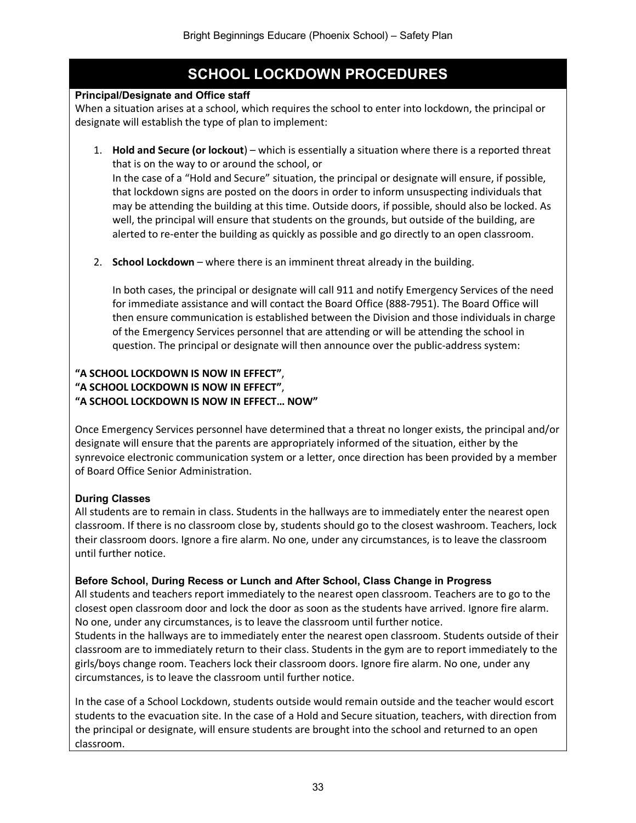## **SCHOOL LOCKDOWN PROCEDURES**

**Principal/Designate and Office staff** 

When a situation arises at a school, which requires the school to enter into lockdown, the principal or designate will establish the type of plan to implement:

1. **Hold and Secure (or lockout**) – which is essentially a situation where there is a reported threat that is on the way to or around the school, or

In the case of a "Hold and Secure" situation, the principal or designate will ensure, if possible, that lockdown signs are posted on the doors in order to inform unsuspecting individuals that may be attending the building at this time. Outside doors, if possible, should also be locked. As well, the principal will ensure that students on the grounds, but outside of the building, are alerted to re-enter the building as quickly as possible and go directly to an open classroom.

2. **School Lockdown** – where there is an imminent threat already in the building.

In both cases, the principal or designate will call 911 and notify Emergency Services of the need for immediate assistance and will contact the Board Office (888-7951). The Board Office will then ensure communication is established between the Division and those individuals in charge of the Emergency Services personnel that are attending or will be attending the school in question. The principal or designate will then announce over the public-address system:

#### **"A SCHOOL LOCKDOWN IS NOW IN EFFECT"**, **"A SCHOOL LOCKDOWN IS NOW IN EFFECT"**, **"A SCHOOL LOCKDOWN IS NOW IN EFFECT… NOW"**

Once Emergency Services personnel have determined that a threat no longer exists, the principal and/or designate will ensure that the parents are appropriately informed of the situation, either by the synrevoice electronic communication system or a letter, once direction has been provided by a member of Board Office Senior Administration.

#### **During Classes**

All students are to remain in class. Students in the hallways are to immediately enter the nearest open classroom. If there is no classroom close by, students should go to the closest washroom. Teachers, lock their classroom doors. Ignore a fire alarm. No one, under any circumstances, is to leave the classroom until further notice.

#### **Before School, During Recess or Lunch and After School, Class Change in Progress**

All students and teachers report immediately to the nearest open classroom. Teachers are to go to the closest open classroom door and lock the door as soon as the students have arrived. Ignore fire alarm. No one, under any circumstances, is to leave the classroom until further notice.

Students in the hallways are to immediately enter the nearest open classroom. Students outside of their classroom are to immediately return to their class. Students in the gym are to report immediately to the girls/boys change room. Teachers lock their classroom doors. Ignore fire alarm. No one, under any circumstances, is to leave the classroom until further notice.

In the case of a School Lockdown, students outside would remain outside and the teacher would escort students to the evacuation site. In the case of a Hold and Secure situation, teachers, with direction from the principal or designate, will ensure students are brought into the school and returned to an open classroom.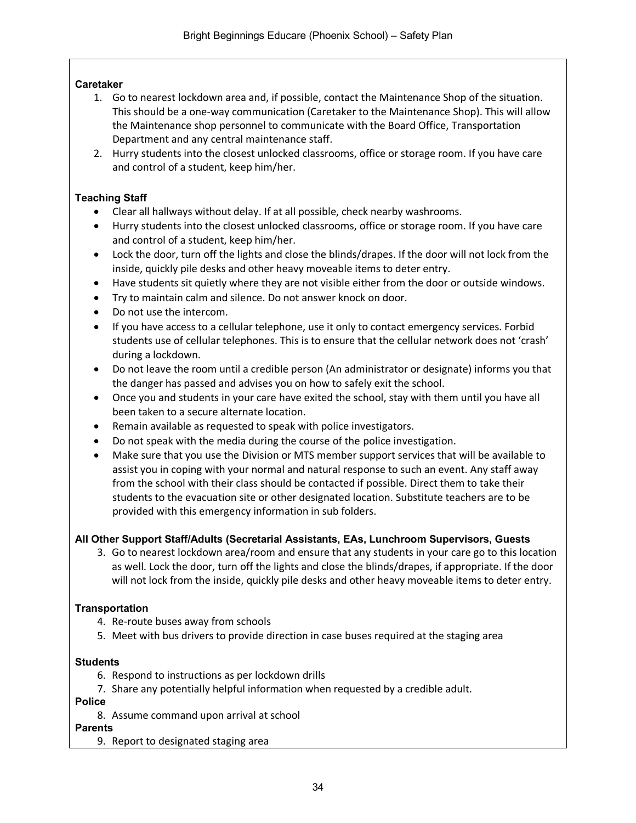#### **Caretaker**

- 1. Go to nearest lockdown area and, if possible, contact the Maintenance Shop of the situation. This should be a one-way communication (Caretaker to the Maintenance Shop). This will allow the Maintenance shop personnel to communicate with the Board Office, Transportation Department and any central maintenance staff.
- 2. Hurry students into the closest unlocked classrooms, office or storage room. If you have care and control of a student, keep him/her.

#### **Teaching Staff**

- Clear all hallways without delay. If at all possible, check nearby washrooms.
- Hurry students into the closest unlocked classrooms, office or storage room. If you have care and control of a student, keep him/her.
- Lock the door, turn off the lights and close the blinds/drapes. If the door will not lock from the inside, quickly pile desks and other heavy moveable items to deter entry.
- Have students sit quietly where they are not visible either from the door or outside windows.
- Try to maintain calm and silence. Do not answer knock on door.
- Do not use the intercom.
- If you have access to a cellular telephone, use it only to contact emergency services. Forbid students use of cellular telephones. This is to ensure that the cellular network does not 'crash' during a lockdown.
- Do not leave the room until a credible person (An administrator or designate) informs you that the danger has passed and advises you on how to safely exit the school.
- Once you and students in your care have exited the school, stay with them until you have all been taken to a secure alternate location.
- Remain available as requested to speak with police investigators.
- Do not speak with the media during the course of the police investigation.
- Make sure that you use the Division or MTS member support services that will be available to assist you in coping with your normal and natural response to such an event. Any staff away from the school with their class should be contacted if possible. Direct them to take their students to the evacuation site or other designated location. Substitute teachers are to be provided with this emergency information in sub folders.

#### **All Other Support Staff/Adults (Secretarial Assistants, EAs, Lunchroom Supervisors, Guests**

3. Go to nearest lockdown area/room and ensure that any students in your care go to this location as well. Lock the door, turn off the lights and close the blinds/drapes, if appropriate. If the door will not lock from the inside, quickly pile desks and other heavy moveable items to deter entry.

#### **Transportation**

- 4. Re-route buses away from schools
- 5. Meet with bus drivers to provide direction in case buses required at the staging area

#### **Students**

- 6. Respond to instructions as per lockdown drills
- 7. Share any potentially helpful information when requested by a credible adult.

#### **Police**

8. Assume command upon arrival at school

#### **Parents**

9. Report to designated staging area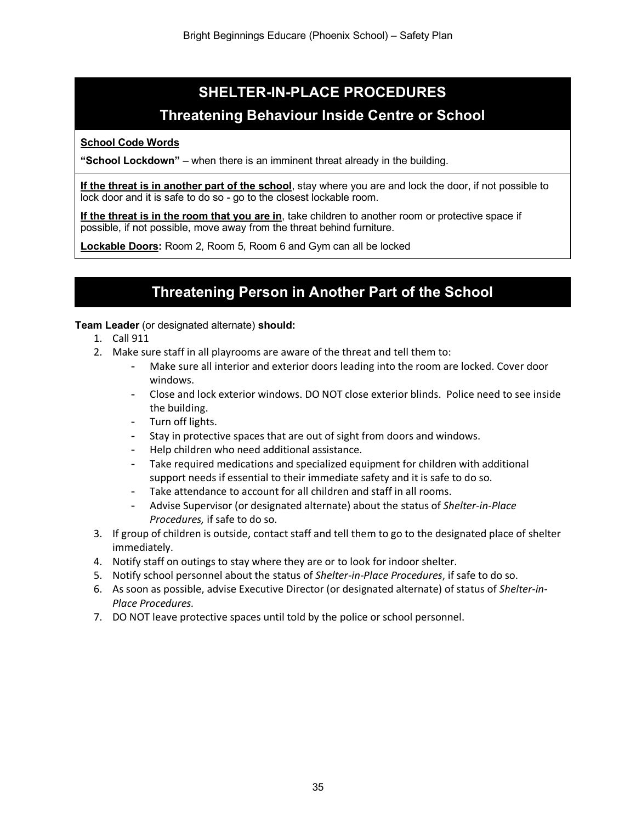## **SHELTER-IN-PLACE PROCEDURES Threatening Behaviour Inside Centre or School**

#### **School Code Words**

**"School Lockdown"** – when there is an imminent threat already in the building.

**If the threat is in another part of the school**, stay where you are and lock the door, if not possible to lock door and it is safe to do so - go to the closest lockable room.

**If the threat is in the room that you are in**, take children to another room or protective space if possible, if not possible, move away from the threat behind furniture.

**Lockable Doors:** Room 2, Room 5, Room 6 and Gym can all be locked

## **Threatening Person in Another Part of the School**

#### **Team Leader** (or designated alternate) **should:**

- 1. Call 911
- 2. Make sure staff in all playrooms are aware of the threat and tell them to:
	- Make sure all interior and exterior doors leading into the room are locked. Cover door windows.
	- Close and lock exterior windows. DO NOT close exterior blinds. Police need to see inside the building.
	- Turn off lights.
	- Stay in protective spaces that are out of sight from doors and windows.
	- Help children who need additional assistance.
	- Take required medications and specialized equipment for children with additional support needs if essential to their immediate safety and it is safe to do so.
	- Take attendance to account for all children and staff in all rooms.
	- Advise Supervisor (or designated alternate) about the status of *Shelter-in-Place Procedures,* if safe to do so.
- 3. If group of children is outside, contact staff and tell them to go to the designated place of shelter immediately.
- 4. Notify staff on outings to stay where they are or to look for indoor shelter.
- 5. Notify school personnel about the status of *Shelter-in-Place Procedures*, if safe to do so.
- 6. As soon as possible, advise Executive Director (or designated alternate) of status of *Shelter-in-Place Procedures.*
- 7. DO NOT leave protective spaces until told by the police or school personnel.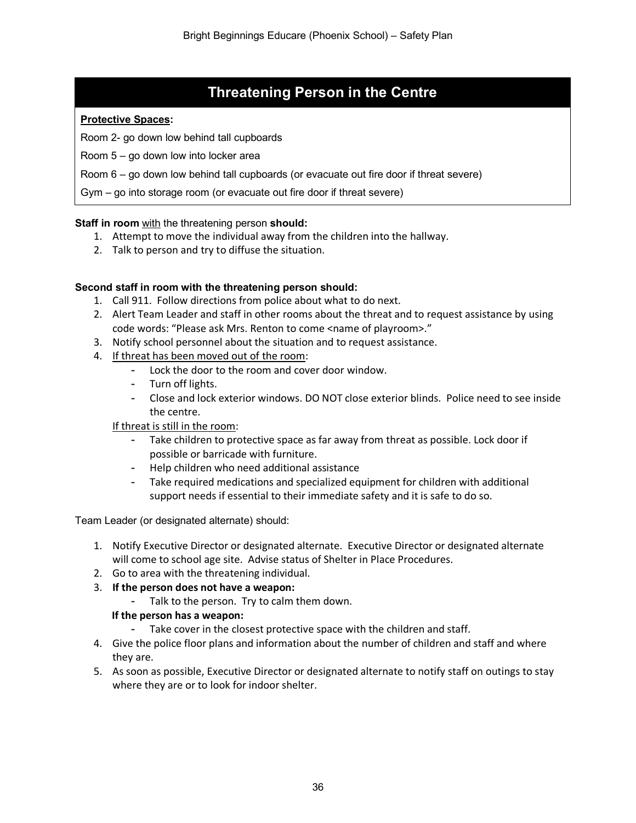## **Threatening Person in the Centre**

#### **Protective Spaces:**

Room 2- go down low behind tall cupboards

Room 5 – go down low into locker area

Room 6 – go down low behind tall cupboards (or evacuate out fire door if threat severe)

Gym – go into storage room (or evacuate out fire door if threat severe)

#### **Staff in room** with the threatening person **should:**

- 1. Attempt to move the individual away from the children into the hallway.
- 2. Talk to person and try to diffuse the situation.

#### **Second staff in room with the threatening person should:**

- 1. Call 911. Follow directions from police about what to do next.
- 2. Alert Team Leader and staff in other rooms about the threat and to request assistance by using code words: "Please ask Mrs. Renton to come <name of playroom>."
- 3. Notify school personnel about the situation and to request assistance.
- 4. If threat has been moved out of the room:
	- Lock the door to the room and cover door window.
		- Turn off lights.
		- Close and lock exterior windows. DO NOT close exterior blinds. Police need to see inside the centre.

#### If threat is still in the room:

- Take children to protective space as far away from threat as possible. Lock door if possible or barricade with furniture.
- Help children who need additional assistance
- Take required medications and specialized equipment for children with additional support needs if essential to their immediate safety and it is safe to do so.

Team Leader (or designated alternate) should:

- 1. Notify Executive Director or designated alternate. Executive Director or designated alternate will come to school age site. Advise status of Shelter in Place Procedures.
- 2. Go to area with the threatening individual.
- 3. **If the person does not have a weapon:** 
	- Talk to the person. Try to calm them down.

#### **If the person has a weapon:**

- Take cover in the closest protective space with the children and staff.
- 4. Give the police floor plans and information about the number of children and staff and where they are.
- 5. As soon as possible, Executive Director or designated alternate to notify staff on outings to stay where they are or to look for indoor shelter.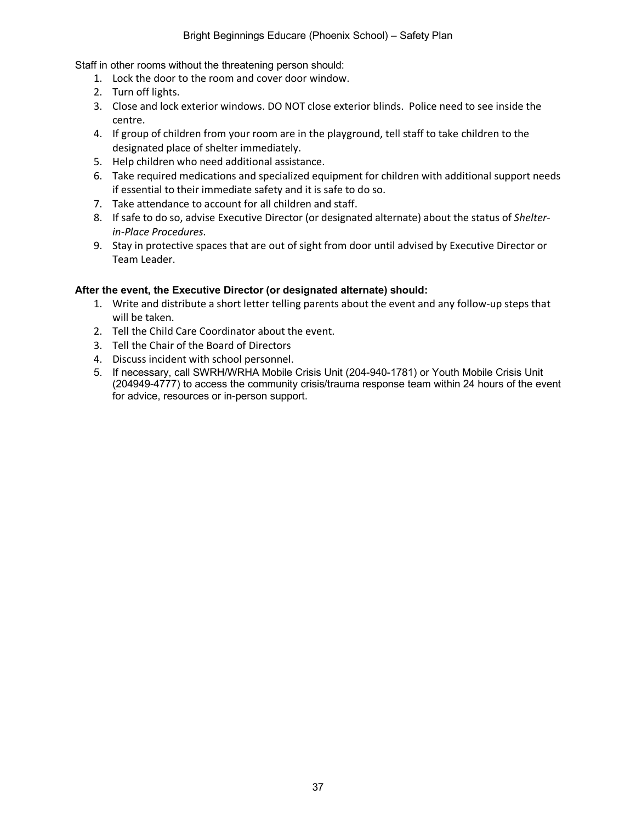Staff in other rooms without the threatening person should:

- 1. Lock the door to the room and cover door window.
- 2. Turn off lights.
- 3. Close and lock exterior windows. DO NOT close exterior blinds. Police need to see inside the centre.
- 4. If group of children from your room are in the playground, tell staff to take children to the designated place of shelter immediately.
- 5. Help children who need additional assistance.
- 6. Take required medications and specialized equipment for children with additional support needs if essential to their immediate safety and it is safe to do so.
- 7. Take attendance to account for all children and staff.
- 8. If safe to do so, advise Executive Director (or designated alternate) about the status of *Shelterin-Place Procedures*.
- 9. Stay in protective spaces that are out of sight from door until advised by Executive Director or Team Leader.

#### **After the event, the Executive Director (or designated alternate) should:**

- 1. Write and distribute a short letter telling parents about the event and any follow-up steps that will be taken.
- 2. Tell the Child Care Coordinator about the event.
- 3. Tell the Chair of the Board of Directors
- 4. Discuss incident with school personnel.
- 5. If necessary, call SWRH/WRHA Mobile Crisis Unit (204-940-1781) or Youth Mobile Crisis Unit (204949-4777) to access the community crisis/trauma response team within 24 hours of the event for advice, resources or in-person support.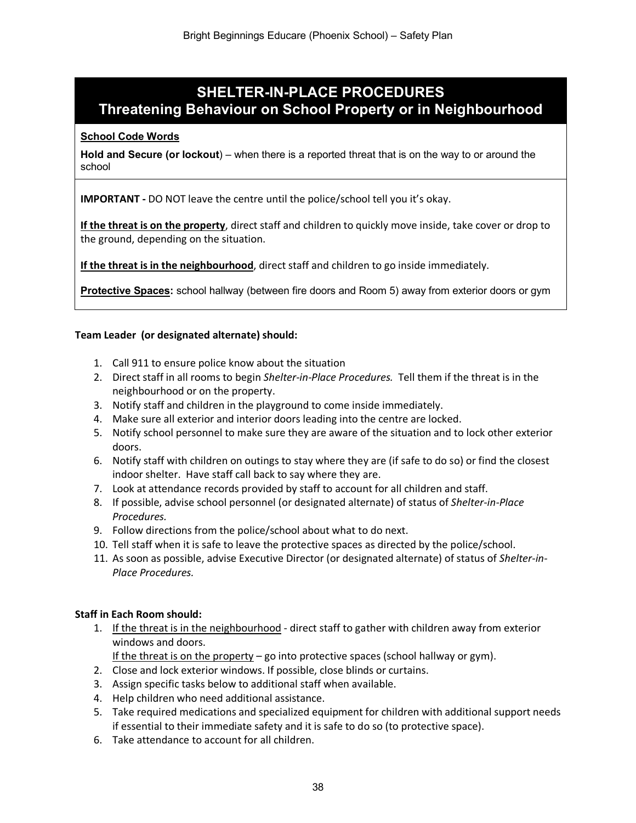## **SHELTER-IN-PLACE PROCEDURES Threatening Behaviour on School Property or in Neighbourhood**

#### **School Code Words**

**Hold and Secure (or lockout**) – when there is a reported threat that is on the way to or around the school

**IMPORTANT -** DO NOT leave the centre until the police/school tell you it's okay.

**If the threat is on the property**, direct staff and children to quickly move inside, take cover or drop to the ground, depending on the situation.

**If the threat is in the neighbourhood**, direct staff and children to go inside immediately.

**Protective Spaces:** school hallway (between fire doors and Room 5) away from exterior doors or gym

#### **Team Leader (or designated alternate) should:**

- 1. Call 911 to ensure police know about the situation
- 2. Direct staff in all rooms to begin *Shelter-in-Place Procedures.* Tell them if the threat is in the neighbourhood or on the property.
- 3. Notify staff and children in the playground to come inside immediately.
- 4. Make sure all exterior and interior doors leading into the centre are locked.
- 5. Notify school personnel to make sure they are aware of the situation and to lock other exterior doors.
- 6. Notify staff with children on outings to stay where they are (if safe to do so) or find the closest indoor shelter. Have staff call back to say where they are.
- 7. Look at attendance records provided by staff to account for all children and staff.
- 8. If possible, advise school personnel (or designated alternate) of status of *Shelter-in-Place Procedures.*
- 9. Follow directions from the police/school about what to do next.
- 10. Tell staff when it is safe to leave the protective spaces as directed by the police/school.
- 11. As soon as possible, advise Executive Director (or designated alternate) of status of *Shelter-in-Place Procedures.*

#### **Staff in Each Room should:**

- 1. If the threat is in the neighbourhood direct staff to gather with children away from exterior windows and doors.
	- If the threat is on the property go into protective spaces (school hallway or gym).
- 2. Close and lock exterior windows. If possible, close blinds or curtains.
- 3. Assign specific tasks below to additional staff when available.
- 4. Help children who need additional assistance.
- 5. Take required medications and specialized equipment for children with additional support needs if essential to their immediate safety and it is safe to do so (to protective space).
- 6. Take attendance to account for all children.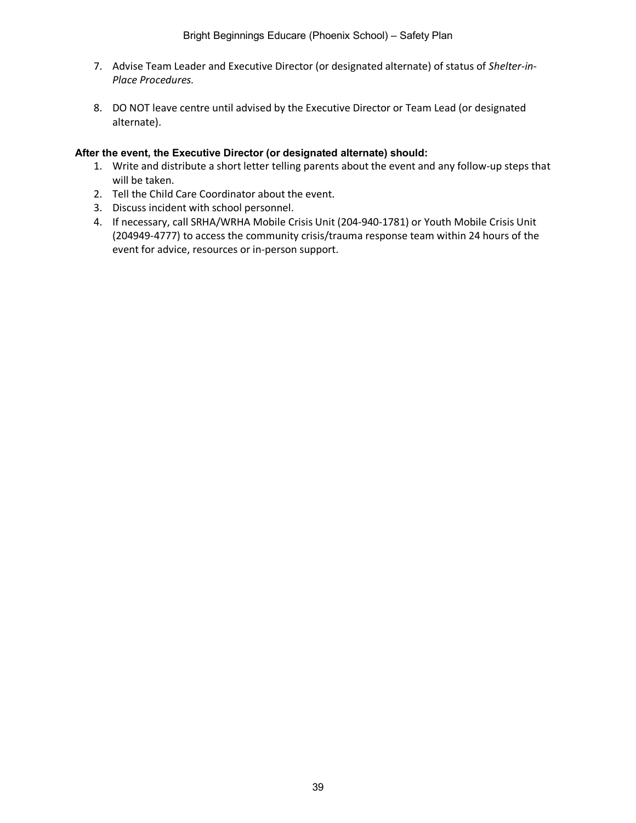- 7. Advise Team Leader and Executive Director (or designated alternate) of status of *Shelter-in-Place Procedures.*
- 8. DO NOT leave centre until advised by the Executive Director or Team Lead (or designated alternate).

#### **After the event, the Executive Director (or designated alternate) should:**

- 1. Write and distribute a short letter telling parents about the event and any follow-up steps that will be taken.
- 2. Tell the Child Care Coordinator about the event.
- 3. Discuss incident with school personnel.
- 4. If necessary, call SRHA/WRHA Mobile Crisis Unit (204-940-1781) or Youth Mobile Crisis Unit (204949-4777) to access the community crisis/trauma response team within 24 hours of the event for advice, resources or in-person support.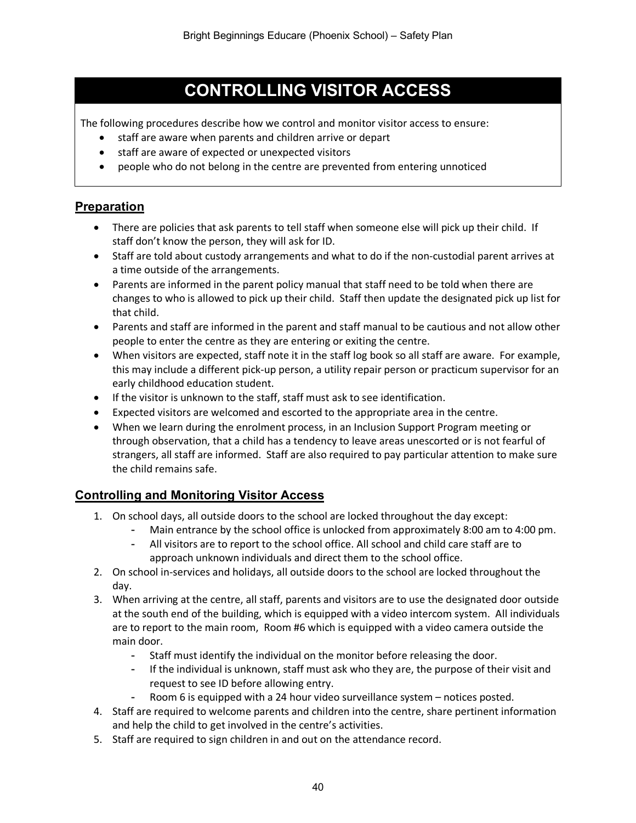## **CONTROLLING VISITOR ACCESS**

The following procedures describe how we control and monitor visitor access to ensure:

- staff are aware when parents and children arrive or depart
- staff are aware of expected or unexpected visitors
- people who do not belong in the centre are prevented from entering unnoticed

#### **Preparation**

- There are policies that ask parents to tell staff when someone else will pick up their child. If staff don't know the person, they will ask for ID.
- Staff are told about custody arrangements and what to do if the non-custodial parent arrives at a time outside of the arrangements.
- Parents are informed in the parent policy manual that staff need to be told when there are changes to who is allowed to pick up their child. Staff then update the designated pick up list for that child.
- Parents and staff are informed in the parent and staff manual to be cautious and not allow other people to enter the centre as they are entering or exiting the centre.
- When visitors are expected, staff note it in the staff log book so all staff are aware. For example, this may include a different pick-up person, a utility repair person or practicum supervisor for an early childhood education student.
- If the visitor is unknown to the staff, staff must ask to see identification.
- Expected visitors are welcomed and escorted to the appropriate area in the centre.
- When we learn during the enrolment process, in an Inclusion Support Program meeting or through observation, that a child has a tendency to leave areas unescorted or is not fearful of strangers, all staff are informed. Staff are also required to pay particular attention to make sure the child remains safe.

#### **Controlling and Monitoring Visitor Access**

- 1. On school days, all outside doors to the school are locked throughout the day except:
	- Main entrance by the school office is unlocked from approximately 8:00 am to 4:00 pm.
	- All visitors are to report to the school office. All school and child care staff are to approach unknown individuals and direct them to the school office.
- 2. On school in-services and holidays, all outside doors to the school are locked throughout the day.
- 3. When arriving at the centre, all staff, parents and visitors are to use the designated door outside at the south end of the building, which is equipped with a video intercom system. All individuals are to report to the main room, Room #6 which is equipped with a video camera outside the main door.
	- Staff must identify the individual on the monitor before releasing the door.
	- If the individual is unknown, staff must ask who they are, the purpose of their visit and request to see ID before allowing entry.
	- Room 6 is equipped with a 24 hour video surveillance system notices posted.
- 4. Staff are required to welcome parents and children into the centre, share pertinent information and help the child to get involved in the centre's activities.
- 5. Staff are required to sign children in and out on the attendance record.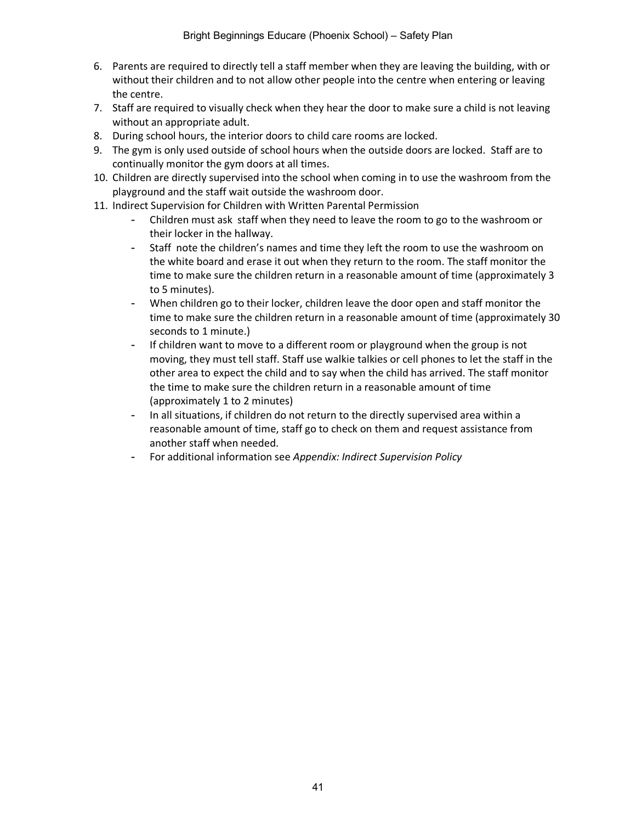- 6. Parents are required to directly tell a staff member when they are leaving the building, with or without their children and to not allow other people into the centre when entering or leaving the centre.
- 7. Staff are required to visually check when they hear the door to make sure a child is not leaving without an appropriate adult.
- 8. During school hours, the interior doors to child care rooms are locked.
- 9. The gym is only used outside of school hours when the outside doors are locked. Staff are to continually monitor the gym doors at all times.
- 10. Children are directly supervised into the school when coming in to use the washroom from the playground and the staff wait outside the washroom door.
- 11. Indirect Supervision for Children with Written Parental Permission
	- Children must ask staff when they need to leave the room to go to the washroom or their locker in the hallway.
	- Staff note the children's names and time they left the room to use the washroom on the white board and erase it out when they return to the room. The staff monitor the time to make sure the children return in a reasonable amount of time (approximately 3 to 5 minutes).
	- When children go to their locker, children leave the door open and staff monitor the time to make sure the children return in a reasonable amount of time (approximately 30 seconds to 1 minute.)
	- If children want to move to a different room or playground when the group is not moving, they must tell staff. Staff use walkie talkies or cell phones to let the staff in the other area to expect the child and to say when the child has arrived. The staff monitor the time to make sure the children return in a reasonable amount of time (approximately 1 to 2 minutes)
	- In all situations, if children do not return to the directly supervised area within a reasonable amount of time, staff go to check on them and request assistance from another staff when needed.
	- For additional information see *Appendix: Indirect Supervision Policy*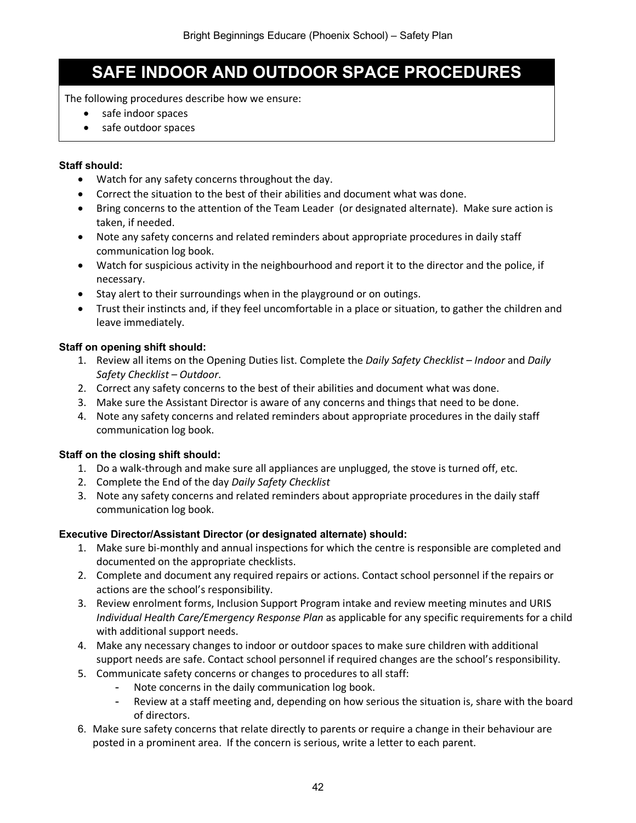## **SAFE INDOOR AND OUTDOOR SPACE PROCEDURES**

The following procedures describe how we ensure:

- safe indoor spaces
- safe outdoor spaces

#### **Staff should:**

- Watch for any safety concerns throughout the day.
- Correct the situation to the best of their abilities and document what was done.
- Bring concerns to the attention of the Team Leader (or designated alternate). Make sure action is taken, if needed.
- Note any safety concerns and related reminders about appropriate procedures in daily staff communication log book.
- Watch for suspicious activity in the neighbourhood and report it to the director and the police, if necessary.
- Stay alert to their surroundings when in the playground or on outings.
- Trust their instincts and, if they feel uncomfortable in a place or situation, to gather the children and leave immediately.

#### **Staff on opening shift should:**

- 1. Review all items on the Opening Duties list. Complete the *Daily Safety Checklist – Indoor* and *Daily Safety Checklist – Outdoor*.
- 2. Correct any safety concerns to the best of their abilities and document what was done.
- 3. Make sure the Assistant Director is aware of any concerns and things that need to be done.
- 4. Note any safety concerns and related reminders about appropriate procedures in the daily staff communication log book.

#### **Staff on the closing shift should:**

- 1. Do a walk-through and make sure all appliances are unplugged, the stove is turned off, etc.
- 2. Complete the End of the day *Daily Safety Checklist*
- 3. Note any safety concerns and related reminders about appropriate procedures in the daily staff communication log book.

#### **Executive Director/Assistant Director (or designated alternate) should:**

- 1. Make sure bi-monthly and annual inspections for which the centre is responsible are completed and documented on the appropriate checklists.
- 2. Complete and document any required repairs or actions. Contact school personnel if the repairs or actions are the school's responsibility.
- 3. Review enrolment forms, Inclusion Support Program intake and review meeting minutes and URIS *Individual Health Care/Emergency Response Plan* as applicable for any specific requirements for a child with additional support needs.
- 4. Make any necessary changes to indoor or outdoor spaces to make sure children with additional support needs are safe. Contact school personnel if required changes are the school's responsibility.
- 5. Communicate safety concerns or changes to procedures to all staff:
	- Note concerns in the daily communication log book.
	- Review at a staff meeting and, depending on how serious the situation is, share with the board of directors.
- 6. Make sure safety concerns that relate directly to parents or require a change in their behaviour are posted in a prominent area. If the concern is serious, write a letter to each parent.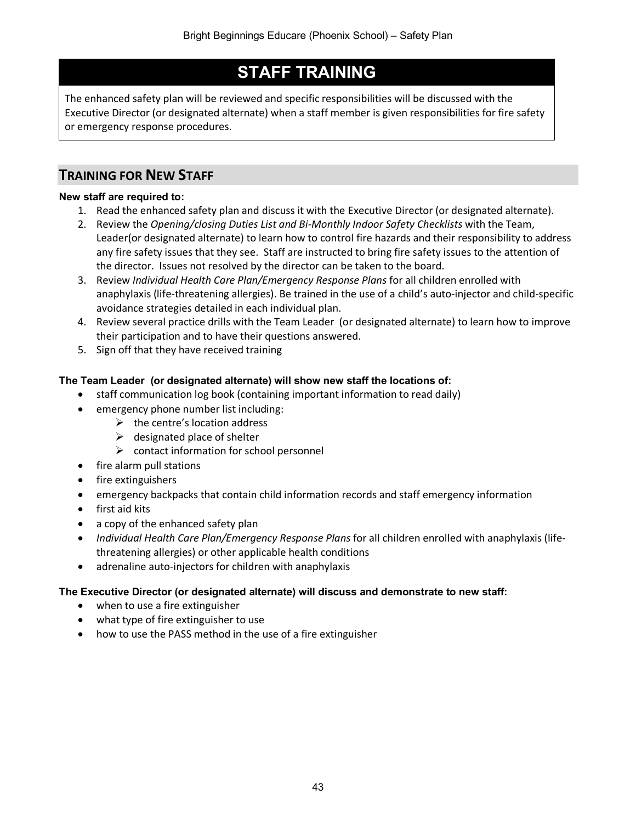## **STAFF TRAINING**

The enhanced safety plan will be reviewed and specific responsibilities will be discussed with the Executive Director (or designated alternate) when a staff member is given responsibilities for fire safety or emergency response procedures.

## **TRAINING FOR NEW STAFF**

#### **New staff are required to:**

- 1. Read the enhanced safety plan and discuss it with the Executive Director (or designated alternate).
- 2. Review the *Opening/closing Duties List and Bi-Monthly Indoor Safety Checklists* with the Team, Leader(or designated alternate) to learn how to control fire hazards and their responsibility to address any fire safety issues that they see. Staff are instructed to bring fire safety issues to the attention of the director. Issues not resolved by the director can be taken to the board.
- 3. Review *Individual Health Care Plan/Emergency Response Plans* for all children enrolled with anaphylaxis (life-threatening allergies). Be trained in the use of a child's auto-injector and child-specific avoidance strategies detailed in each individual plan.
- 4. Review several practice drills with the Team Leader (or designated alternate) to learn how to improve their participation and to have their questions answered.
- 5. Sign off that they have received training

#### **The Team Leader (or designated alternate) will show new staff the locations of:**

- staff communication log book (containing important information to read daily)
- emergency phone number list including:
	- $\triangleright$  the centre's location address
	- $\triangleright$  designated place of shelter
	- $\triangleright$  contact information for school personnel
- fire alarm pull stations
- fire extinguishers
- emergency backpacks that contain child information records and staff emergency information
- first aid kits
- a copy of the enhanced safety plan
- *Individual Health Care Plan/Emergency Response Plans* for all children enrolled with anaphylaxis (lifethreatening allergies) or other applicable health conditions
- adrenaline auto-injectors for children with anaphylaxis

#### **The Executive Director (or designated alternate) will discuss and demonstrate to new staff:**

- when to use a fire extinguisher
- what type of fire extinguisher to use
- how to use the PASS method in the use of a fire extinguisher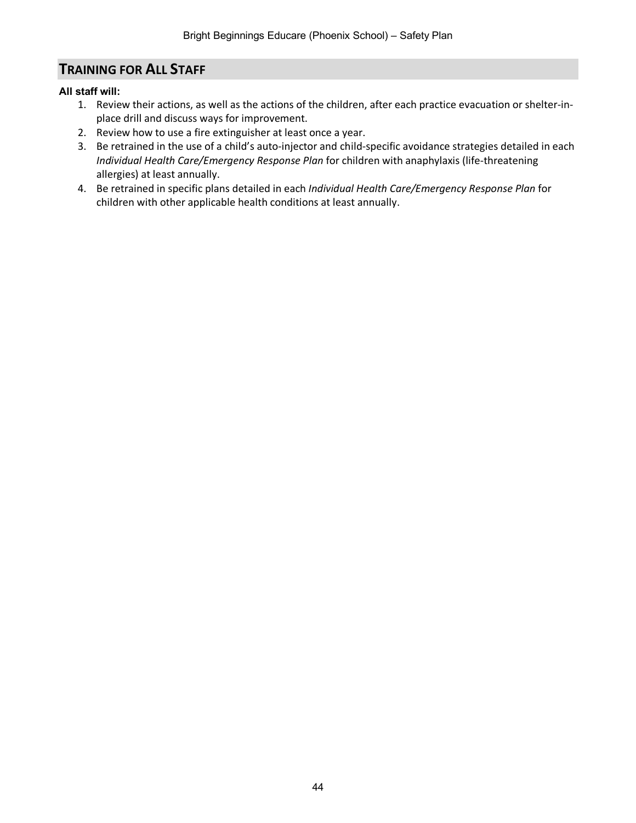## **TRAINING FOR ALL STAFF**

#### **All staff will:**

- 1. Review their actions, as well as the actions of the children, after each practice evacuation or shelter-inplace drill and discuss ways for improvement.
- 2. Review how to use a fire extinguisher at least once a year.
- 3. Be retrained in the use of a child's auto-injector and child-specific avoidance strategies detailed in each *Individual Health Care/Emergency Response Plan* for children with anaphylaxis (life-threatening allergies) at least annually.
- 4. Be retrained in specific plans detailed in each *Individual Health Care/Emergency Response Plan* for children with other applicable health conditions at least annually.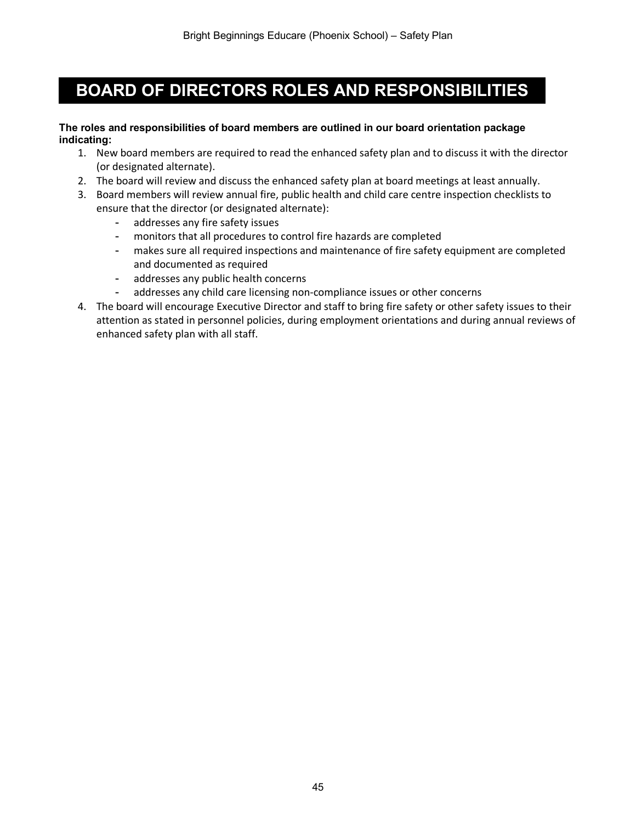## **BOARD OF DIRECTORS ROLES AND RESPONSIBILITIES**

#### **The roles and responsibilities of board members are outlined in our board orientation package indicating:**

- 1. New board members are required to read the enhanced safety plan and to discuss it with the director (or designated alternate).
- 2. The board will review and discuss the enhanced safety plan at board meetings at least annually.
- 3. Board members will review annual fire, public health and child care centre inspection checklists to ensure that the director (or designated alternate):
	- addresses any fire safety issues
	- monitors that all procedures to control fire hazards are completed
	- makes sure all required inspections and maintenance of fire safety equipment are completed and documented as required
	- addresses any public health concerns
	- addresses any child care licensing non-compliance issues or other concerns
- 4. The board will encourage Executive Director and staff to bring fire safety or other safety issues to their attention as stated in personnel policies, during employment orientations and during annual reviews of enhanced safety plan with all staff.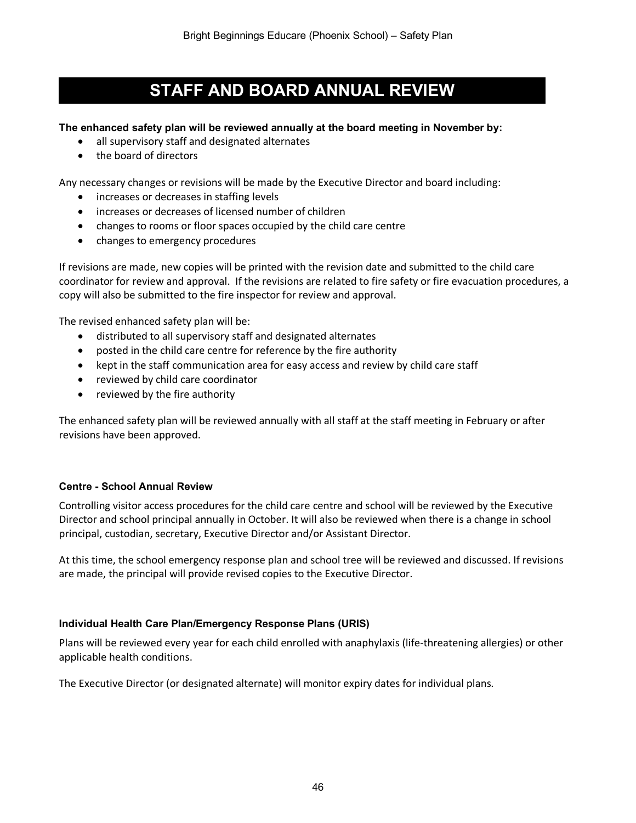## **STAFF AND BOARD ANNUAL REVIEW**

#### **The enhanced safety plan will be reviewed annually at the board meeting in November by:**

- all supervisory staff and designated alternates
- the board of directors

Any necessary changes or revisions will be made by the Executive Director and board including:

- increases or decreases in staffing levels
- increases or decreases of licensed number of children
- changes to rooms or floor spaces occupied by the child care centre
- changes to emergency procedures

If revisions are made, new copies will be printed with the revision date and submitted to the child care coordinator for review and approval. If the revisions are related to fire safety or fire evacuation procedures, a copy will also be submitted to the fire inspector for review and approval.

The revised enhanced safety plan will be:

- distributed to all supervisory staff and designated alternates
- posted in the child care centre for reference by the fire authority
- kept in the staff communication area for easy access and review by child care staff
- reviewed by child care coordinator
- reviewed by the fire authority

The enhanced safety plan will be reviewed annually with all staff at the staff meeting in February or after revisions have been approved.

#### **Centre - School Annual Review**

Controlling visitor access procedures for the child care centre and school will be reviewed by the Executive Director and school principal annually in October. It will also be reviewed when there is a change in school principal, custodian, secretary, Executive Director and/or Assistant Director.

At this time, the school emergency response plan and school tree will be reviewed and discussed. If revisions are made, the principal will provide revised copies to the Executive Director.

#### **Individual Health Care Plan/Emergency Response Plans (URIS)**

Plans will be reviewed every year for each child enrolled with anaphylaxis (life-threatening allergies) or other applicable health conditions.

The Executive Director (or designated alternate) will monitor expiry dates for individual plans.